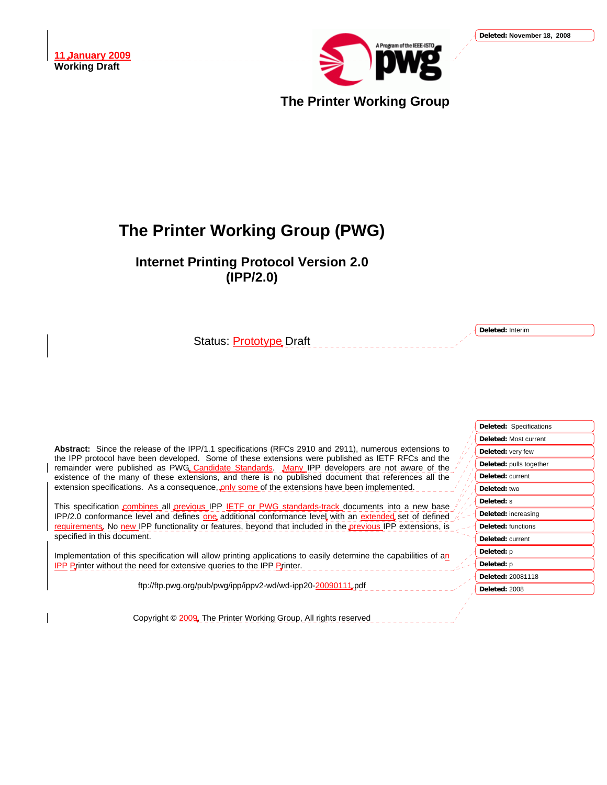

**The Printer Working Group**

# **The Printer Working Group (PWG)**

**Internet Printing Protocol Version 2.0 (IPP/2.0)** 

Status: **Prototype** Draft

**Deleted:** Interim

| <b>Deleted: Specifications</b> |
|--------------------------------|
| Deleted: Most current          |
| Deleted: very few              |
| Deleted: pulls together        |
| Deleted: current               |
| Deleted: two                   |
| Deleted: s                     |
| Deleted: increasing            |
| Deleted: functions             |
| Deleted: current               |
| Deleted: p                     |
| Deleted: p                     |
| <b>Deleted: 20081118</b>       |
| Deleted: 2008                  |

**Abstract:** Since the release of the IPP/1.1 specifications (RFCs 2910 and 2911), numerous extensions to the IPP protocol have been developed. Some of these extensions were published as IETF RFCs and the remainder were published as PWG Candidate Standards. Many IPP developers are not aware of the existence of the many of these extensions, and there is no published document that references all the extension specifications. As a consequence, only some of the extensions have been implemented.

This specification combines all previous IPP IETF or PWG standards-track documents into a new base IPP/2.0 conformance level and defines one additional conformance level with an extended set of defined requirements. No new IPP functionality or features, beyond that included in the previous IPP extensions, is specified in this document.

Implementation of this specification will allow printing applications to easily determine the capabilities of an **IPP Printer without the need for extensive queries to the IPP Printer.** 

ftp://ftp.pwg.org/pub/pwg/ipp/ippv2-wd/wd-ipp20-20090111.pdf

Copyright © 2009, The Printer Working Group, All rights reserved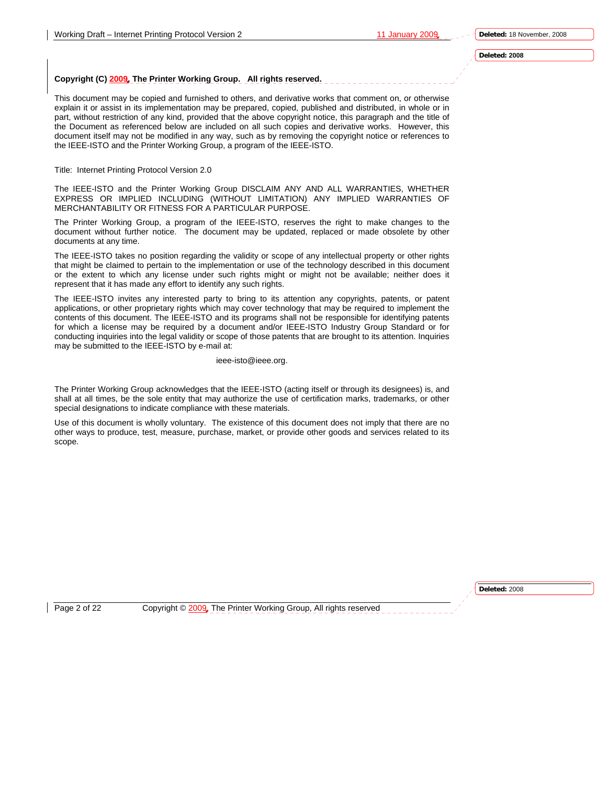#### **Deleted: 2008**

#### **Copyright (C) 2009, The Printer Working Group. All rights reserved.**

This document may be copied and furnished to others, and derivative works that comment on, or otherwise explain it or assist in its implementation may be prepared, copied, published and distributed, in whole or in part, without restriction of any kind, provided that the above copyright notice, this paragraph and the title of the Document as referenced below are included on all such copies and derivative works. However, this document itself may not be modified in any way, such as by removing the copyright notice or references to the IEEE-ISTO and the Printer Working Group, a program of the IEEE-ISTO.

#### Title: Internet Printing Protocol Version 2.0

The IEEE-ISTO and the Printer Working Group DISCLAIM ANY AND ALL WARRANTIES, WHETHER EXPRESS OR IMPLIED INCLUDING (WITHOUT LIMITATION) ANY IMPLIED WARRANTIES OF MERCHANTABILITY OR FITNESS FOR A PARTICULAR PURPOSE.

The Printer Working Group, a program of the IEEE-ISTO, reserves the right to make changes to the document without further notice. The document may be updated, replaced or made obsolete by other documents at any time.

The IEEE-ISTO takes no position regarding the validity or scope of any intellectual property or other rights that might be claimed to pertain to the implementation or use of the technology described in this document or the extent to which any license under such rights might or might not be available; neither does it represent that it has made any effort to identify any such rights.

The IEEE-ISTO invites any interested party to bring to its attention any copyrights, patents, or patent applications, or other proprietary rights which may cover technology that may be required to implement the contents of this document. The IEEE-ISTO and its programs shall not be responsible for identifying patents for which a license may be required by a document and/or IEEE-ISTO Industry Group Standard or for conducting inquiries into the legal validity or scope of those patents that are brought to its attention. Inquiries may be submitted to the IEEE-ISTO by e-mail at:

#### ieee-isto@ieee.org.

The Printer Working Group acknowledges that the IEEE-ISTO (acting itself or through its designees) is, and shall at all times, be the sole entity that may authorize the use of certification marks, trademarks, or other special designations to indicate compliance with these materials.

Use of this document is wholly voluntary. The existence of this document does not imply that there are no other ways to produce, test, measure, purchase, market, or provide other goods and services related to its scope.

**Deleted:** 2008

Page 2 of 22 Copyright © 2009, The Printer Working Group, All rights reserved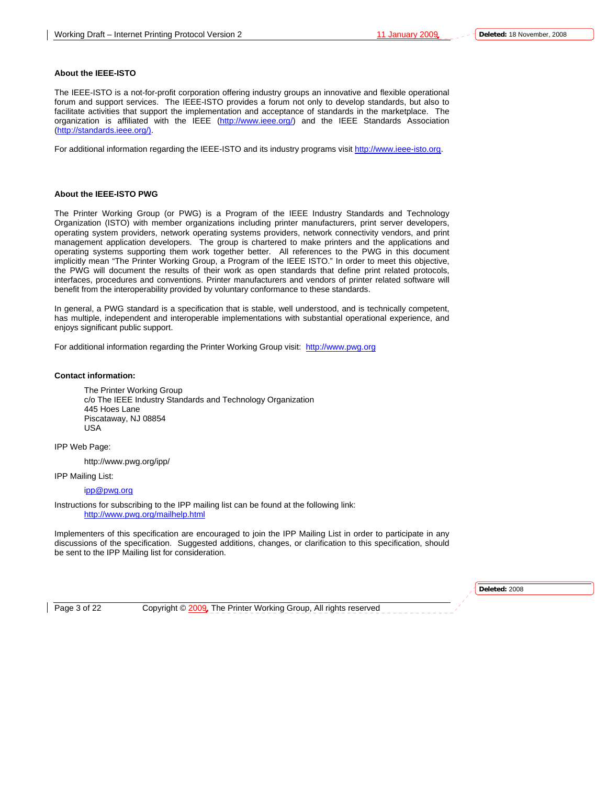#### **About the IEEE-ISTO**

The IEEE-ISTO is a not-for-profit corporation offering industry groups an innovative and flexible operational forum and support services. The IEEE-ISTO provides a forum not only to develop standards, but also to facilitate activities that support the implementation and acceptance of standards in the marketplace. The organization is affiliated with the IEEE (http://www.ieee.org/) and the IEEE Standards Association (http://standards.ieee.org/).

For additional information regarding the IEEE-ISTO and its industry programs visit http://www.ieee-isto.org.

#### **About the IEEE-ISTO PWG**

The Printer Working Group (or PWG) is a Program of the IEEE Industry Standards and Technology Organization (ISTO) with member organizations including printer manufacturers, print server developers, operating system providers, network operating systems providers, network connectivity vendors, and print management application developers. The group is chartered to make printers and the applications and operating systems supporting them work together better. All references to the PWG in this document implicitly mean "The Printer Working Group, a Program of the IEEE ISTO." In order to meet this objective, the PWG will document the results of their work as open standards that define print related protocols, interfaces, procedures and conventions. Printer manufacturers and vendors of printer related software will benefit from the interoperability provided by voluntary conformance to these standards.

In general, a PWG standard is a specification that is stable, well understood, and is technically competent, has multiple, independent and interoperable implementations with substantial operational experience, and enjoys significant public support.

For additional information regarding the Printer Working Group visit: http://www.pwg.org

#### **Contact information:**

The Printer Working Group c/o The IEEE Industry Standards and Technology Organization 445 Hoes Lane Piscataway, NJ 08854 USA

IPP Web Page:

http://www.pwg.org/ipp/

IPP Mailing List:

ipp@pwg.org

Instructions for subscribing to the IPP mailing list can be found at the following link: http://www.pwg.org/mailhelp.html

Implementers of this specification are encouraged to join the IPP Mailing List in order to participate in any discussions of the specification. Suggested additions, changes, or clarification to this specification, should be sent to the IPP Mailing list for consideration.

**Deleted:** 2008

Page 3 of 22 Copyright © 2009. The Printer Working Group, All rights reserved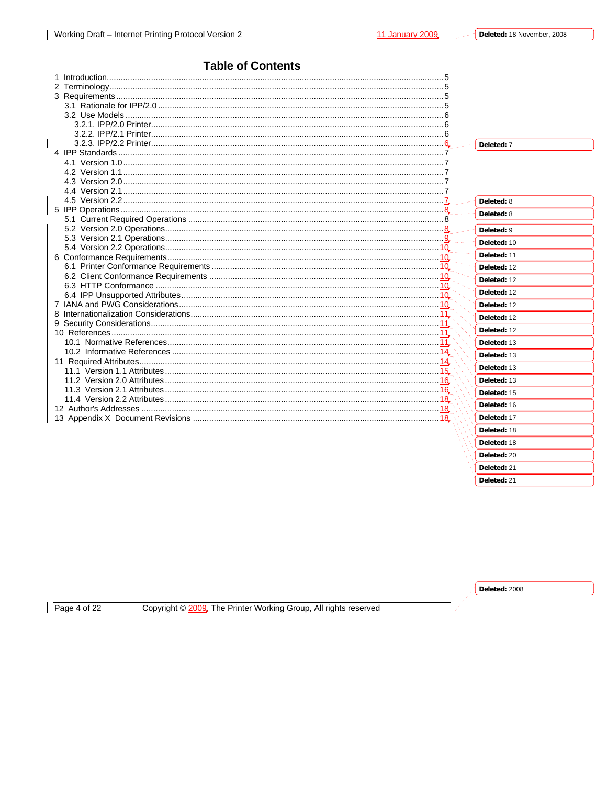### **Table of Contents**

|  | Deleted: 7             |
|--|------------------------|
|  |                        |
|  |                        |
|  |                        |
|  |                        |
|  |                        |
|  | Deleted: 8             |
|  | Deleted: 8             |
|  |                        |
|  | Deleted: 9             |
|  | Deleted: 10            |
|  | Deleted: 11            |
|  |                        |
|  | Deleted: 12            |
|  | Deleted: 12            |
|  | Deleted: 12            |
|  | Deleted: 12            |
|  |                        |
|  | Deleted: 12            |
|  | Deleted: 12            |
|  | Deleted: 13            |
|  | Deleted: 13            |
|  |                        |
|  | Deleted: 13            |
|  | Deleted: 13            |
|  | Deleted: 15            |
|  | Deleted: 16            |
|  |                        |
|  | Deleted: 17            |
|  | Deleted: 18            |
|  | Deleted: 18            |
|  | D <sub>el</sub> eta·20 |

Page 4 of 22

Copyright © 2009. The Printer Working Group, All rights reserved

Deleted: 2008

Deleted: 21 Deleted: 21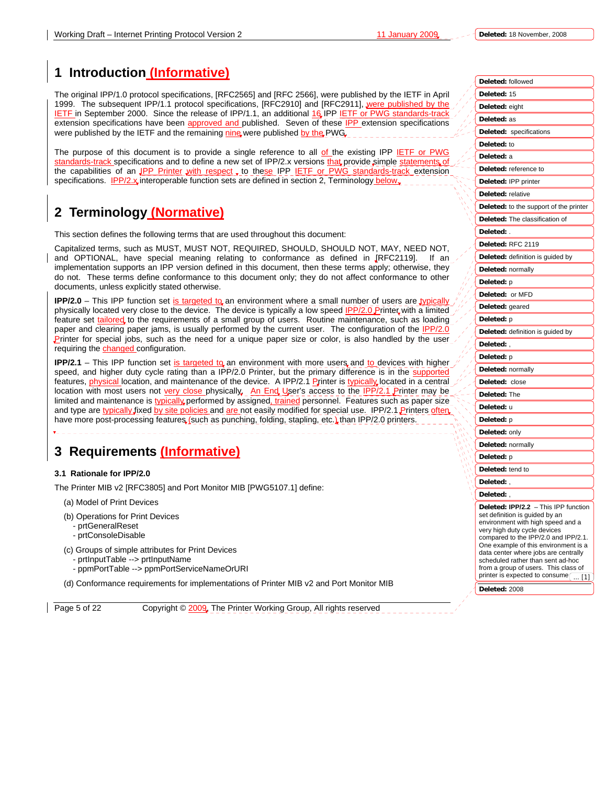**Deleted:** 18 November, 2008

# **1 Introduction (Informative)**

The original IPP/1.0 protocol specifications, [RFC2565] and [RFC 2566], were published by the IETF in April 1999. The subsequent IPP/1.1 protocol specifications, [RFC2910] and [RFC2911], were published by the IETF in September 2000. Since the release of IPP/1.1, an additional 16 IPP IETF or PWG standards-track extension specifications have been approved and published. Seven of these IPP extension specifications were published by the IETF and the remaining nine were published by the PWG.

The purpose of this document is to provide a single reference to all of the existing IPP IETF or PWG standards-track specifications and to define a new set of IPP/2.x versions that provide simple statements of the capabilities of an **IPP Printer with respect**, to these IPP **IETF** or PWG standards-track extension specifications. **IPP/2.x** interoperable function sets are defined in section 2, Terminology below.

# **2 Terminology (Normative)**

This section defines the following terms that are used throughout this document:

Capitalized terms, such as MUST, MUST NOT, REQUIRED, SHOULD, SHOULD NOT, MAY, NEED NOT, and OPTIONAL, have special meaning relating to conformance as defined in [RFC2119]. If an implementation supports an IPP version defined in this document, then these terms apply; otherwise, they do not. These terms define conformance to this document only; they do not affect conformance to other documents, unless explicitly stated otherwise.

**IPP/2.0** – This IPP function set is targeted to an environment where a small number of users are typical physically located very close to the device. The device is typically a low speed **IPP/2.0 Printer with a limited** feature set tailored to the requirements of a small group of users. Routine maintenance, such as loading paper and clearing paper jams, is usually performed by the current user. The configuration of the IPP/2.0 **Printer for special jobs, such as the need for a unique paper size or color, is also handled by the user** requiring the changed configuration.

**IPP/2.1** – This IPP function set is targeted to an environment with more users and to devices with higher speed, and higher duty cycle rating than a IPP/2.0 Printer, but the primary difference is in the supported features, **physical location**, and maintenance of the device. A IPP/2.1 Printer is typically located in a central location with most users not very close physically. An End User's access to the IPP/2.1 Printer may be limited and maintenance is typically performed by assigned, trained personnel. Features such as paper size and type are typically fixed by site policies and are not easily modified for special use. IPP/2.1 Printers often have more post-processing features (such as punching, folding, stapling, etc.) than IPP/2.0 printers.

# **3 Requirements (Informative)**

#### **3.1 Rationale for IPP/2.0**

The Printer MIB v2 [RFC3805] and Port Monitor MIB [PWG5107.1] define:

- (a) Model of Print Devices
- (b) Operations for Print Devices
	- prtGeneralReset
	- prtConsoleDisable
- (c) Groups of simple attributes for Print Devices
	- prtInputTable --> prtInputName
	- ppmPortTable --> ppmPortServiceNameOrURI

(d) Conformance requirements for implementations of Printer MIB v2 and Port Monitor MIB

Page 5 of 22 Copyright © 2009, The Printer Working Group, All rights reserved

| Deleted: followed                                                                                                                                                                                                                                                                                                                                                                         |
|-------------------------------------------------------------------------------------------------------------------------------------------------------------------------------------------------------------------------------------------------------------------------------------------------------------------------------------------------------------------------------------------|
| Deleted: 15                                                                                                                                                                                                                                                                                                                                                                               |
| Deleted: eight                                                                                                                                                                                                                                                                                                                                                                            |
| Deleted: as                                                                                                                                                                                                                                                                                                                                                                               |
| <b>Deleted:</b> specifications                                                                                                                                                                                                                                                                                                                                                            |
| Deleted: to                                                                                                                                                                                                                                                                                                                                                                               |
| Deleted: a                                                                                                                                                                                                                                                                                                                                                                                |
| Deleted: reference to                                                                                                                                                                                                                                                                                                                                                                     |
| Deleted: IPP printer                                                                                                                                                                                                                                                                                                                                                                      |
| Deleted: relative                                                                                                                                                                                                                                                                                                                                                                         |
| Deleted: to the support of the printer                                                                                                                                                                                                                                                                                                                                                    |
| Deleted: The classification of                                                                                                                                                                                                                                                                                                                                                            |
| Deleted:                                                                                                                                                                                                                                                                                                                                                                                  |
| Deleted: RFC 2119                                                                                                                                                                                                                                                                                                                                                                         |
| Deleted: definition is guided by                                                                                                                                                                                                                                                                                                                                                          |
| Deleted: normally                                                                                                                                                                                                                                                                                                                                                                         |
| <b>Deleted:</b> p                                                                                                                                                                                                                                                                                                                                                                         |
| Deleted: or MFD                                                                                                                                                                                                                                                                                                                                                                           |
| Deleted: geared                                                                                                                                                                                                                                                                                                                                                                           |
| Deleted: p                                                                                                                                                                                                                                                                                                                                                                                |
| Deleted: definition is guided by                                                                                                                                                                                                                                                                                                                                                          |
| Deleted:,                                                                                                                                                                                                                                                                                                                                                                                 |
| Deleted: p                                                                                                                                                                                                                                                                                                                                                                                |
| Deleted: normally                                                                                                                                                                                                                                                                                                                                                                         |
| Deleted:<br>close                                                                                                                                                                                                                                                                                                                                                                         |
| Deleted: The                                                                                                                                                                                                                                                                                                                                                                              |
| Deleted: u                                                                                                                                                                                                                                                                                                                                                                                |
| <b>Deleted:</b> p                                                                                                                                                                                                                                                                                                                                                                         |
| Deleted: only                                                                                                                                                                                                                                                                                                                                                                             |
| Deleted: normally                                                                                                                                                                                                                                                                                                                                                                         |
| <b>Deleted:</b> p                                                                                                                                                                                                                                                                                                                                                                         |
| Deleted: tend to                                                                                                                                                                                                                                                                                                                                                                          |
| Deleted:,                                                                                                                                                                                                                                                                                                                                                                                 |
| Deleted:                                                                                                                                                                                                                                                                                                                                                                                  |
| Deleted: IPP/2.2 - This IPP function<br>set definition is guided by an<br>environment with high speed and a<br>very high duty cycle devices<br>compared to the IPP/2.0 and IPP/2.1.<br>One example of this environment is a<br>data center where jobs are centrally<br>scheduled rather than sent ad-hoc<br>from a group of users. This class of<br>printer is expected to consume<br>[1] |
| Deleted: 2008                                                                                                                                                                                                                                                                                                                                                                             |
|                                                                                                                                                                                                                                                                                                                                                                                           |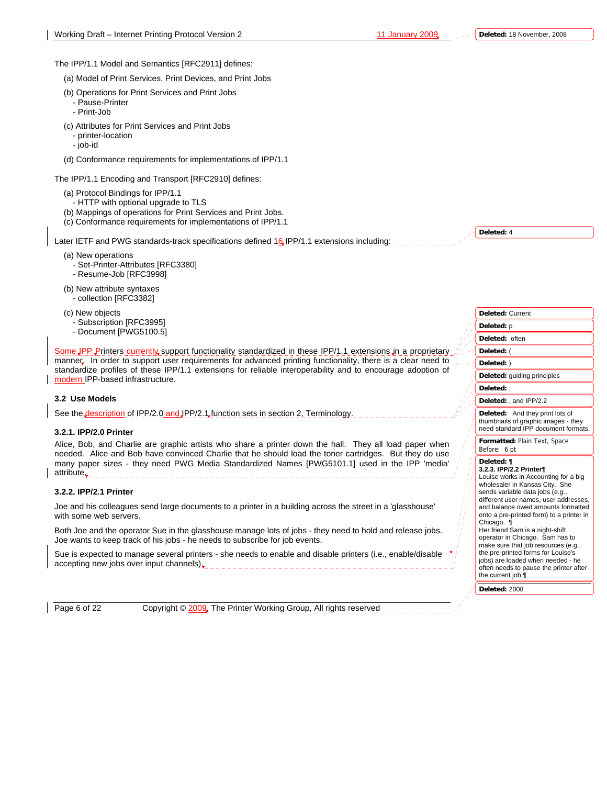**Deleted:** 4

The IPP/1.1 Model and Semantics [RFC2911] defines:

(a) Model of Print Services, Print Devices, and Print Jobs

- (b) Operations for Print Services and Print Jobs
	- Pause-Printer
	- Print-Job
- (c) Attributes for Print Services and Print Jobs
	- printer-location
	- job-id
- (d) Conformance requirements for implementations of IPP/1.1

The IPP/1.1 Encoding and Transport [RFC2910] defines:

- (a) Protocol Bindings for IPP/1.1
- HTTP with optional upgrade to TLS
- (b) Mappings of operations for Print Services and Print Jobs.
- (c) Conformance requirements for implementations of IPP/1.1

Later IETF and PWG standards-track specifications defined 16 IPP/1.1 extensions including:

- (a) New operations
	- Set-Printer-Attributes [RFC3380]
- Resume-Job [RFC3998]
- (b) New attribute syntaxes
	- collection [RFC3382]
- (c) New objects
	- Subscription [RFC3995]
	- Document [PWG5100.5]

Some JPP Printers currently support functionality standardized in these IPP/1.1 extensions in a proprietary manner. In order to support user requirements for advanced printing functionality, there is a clear need to standardize profiles of these IPP/1.1 extensions for reliable interoperability and to encourage adoption of modern IPP-based infrastructure.

#### **3.2 Use Models**

See the description of IPP/2.0 and JPP/2.1 function sets in section 2, Terminology

#### **3.2.1. IPP/2.0 Printer**

Alice, Bob, and Charlie are graphic artists who share a printer down the hall. They all load paper when needed. Alice and Bob have convinced Charlie that he should load the toner cartridges. But they do use many paper sizes - they need PWG Media Standardized Names [PWG5101.1] used in the IPP 'media' attribute.

#### **3.2.2. IPP/2.1 Printer**

Joe and his colleagues send large documents to a printer in a building across the street in a 'glasshouse' with some web servers.

Both Joe and the operator Sue in the glasshouse manage lots of jobs - they need to hold and release jobs. Joe wants to keep track of his jobs - he needs to subscribe for job events.

Sue is expected to manage several printers - she needs to enable and disable printers (i.e., enable/disable accepting new jobs over input channels).

Page 6 of 22 Copyright © 2009. The Printer Working Group, All rights reserved

| <b>Deleted: Current</b>                                                                                                                                                                                                                                                                                                                                                                                                                                                                                                                            |
|----------------------------------------------------------------------------------------------------------------------------------------------------------------------------------------------------------------------------------------------------------------------------------------------------------------------------------------------------------------------------------------------------------------------------------------------------------------------------------------------------------------------------------------------------|
| Deleted: p                                                                                                                                                                                                                                                                                                                                                                                                                                                                                                                                         |
| Deleted: often                                                                                                                                                                                                                                                                                                                                                                                                                                                                                                                                     |
| Deleted: (                                                                                                                                                                                                                                                                                                                                                                                                                                                                                                                                         |
| Deleted: )                                                                                                                                                                                                                                                                                                                                                                                                                                                                                                                                         |
| Deleted: guiding principles                                                                                                                                                                                                                                                                                                                                                                                                                                                                                                                        |
| Deleted: .                                                                                                                                                                                                                                                                                                                                                                                                                                                                                                                                         |
| Deleted: , and IPP/2.2                                                                                                                                                                                                                                                                                                                                                                                                                                                                                                                             |
| Deleted: And they print lots of<br>thumbnails of graphic images - they<br>need standard IPP document formats.                                                                                                                                                                                                                                                                                                                                                                                                                                      |
| Formatted: Plain Text, Space<br>Before: 6 pt                                                                                                                                                                                                                                                                                                                                                                                                                                                                                                       |
| Deleted: ¶<br>3.2.3. IPP/2.2 Printer¶<br>Louise works in Accounting for a big<br>wholesaler in Kansas City. She<br>sends variable data jobs (e.g.,<br>different user names, user addresses,<br>and balance owed amounts formatted<br>onto a pre-printed form) to a printer in<br>Chicago. ¶<br>Her friend Sam is a night-shift<br>operator in Chicago. Sam has to<br>make sure that job resources (e.g.,<br>the pre-printed forms for Louise's<br>jobs) are loaded when needed - he<br>often needs to pause the printer after<br>the current job.¶ |
| Deleted: 2008                                                                                                                                                                                                                                                                                                                                                                                                                                                                                                                                      |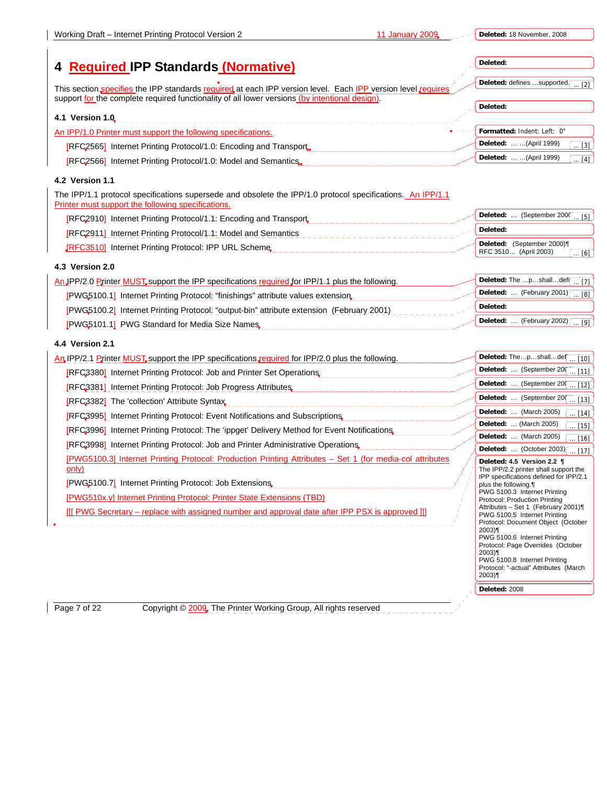| Deleted: 18 November, 2008 |  |
|----------------------------|--|
|                            |  |

**Deleted:** 2008

| <b>Required IPP Standards (Normative)</b>                                                                                                                                                                      | Deleted:                                                             |
|----------------------------------------------------------------------------------------------------------------------------------------------------------------------------------------------------------------|----------------------------------------------------------------------|
|                                                                                                                                                                                                                | Deleted: defines supported.<br>[2]                                   |
| This section specifies the IPP standards required at each IPP version level. Each IPP version level requires<br>support for the complete required functionality of all lower versions (by intentional design). |                                                                      |
|                                                                                                                                                                                                                | Deleted:                                                             |
| 4.1 Version 1.0                                                                                                                                                                                                |                                                                      |
| An IPP/1.0 Printer must support the following specifications.                                                                                                                                                  | Formatted: Indent: Left: 0"                                          |
| [RFC2565] Internet Printing Protocol/1.0: Encoding and Transport                                                                                                                                               | Deleted:   (April 1999)<br>$\dots$ [3]                               |
| [RFC2566] Internet Printing Protocol/1.0: Model and Semantics,                                                                                                                                                 | Deleted:   (April 1999)<br>$\lceil 4 \rceil$                         |
| <b>4.2 Version 1.1</b>                                                                                                                                                                                         |                                                                      |
| The IPP/1.1 protocol specifications supersede and obsolete the IPP/1.0 protocol specifications. An IPP/1.1<br>Printer must support the following specifications.                                               |                                                                      |
| [RFC2910] Internet Printing Protocol/1.1: Encoding and Transport                                                                                                                                               | Deleted:  (September 2000<br>[5]                                     |
| <b>[RFC2911] Internet Printing Protocol/1.1: Model and Semantics</b>                                                                                                                                           | Deleted:                                                             |
| <b>JRFC3510]</b> Internet Printing Protocol: IPP URL Scheme                                                                                                                                                    | Deleted: (September 2000)¶<br>RFC 3510 (April 2003)<br>[6]           |
| 4.3 Version 2.0                                                                                                                                                                                                |                                                                      |
| An JPP/2.0 Printer MUST, support the IPP specifications required for IPP/1.1 plus the following.                                                                                                               | Deleted: The pshalldef[ [7]                                          |
| <b>[PWG5100.1]</b> Internet Printing Protocol: "finishings" attribute values extension                                                                                                                         | Deleted:  (February 2001) $\sqrt{8}$                                 |
| [PWG5100.2] Internet Printing Protocol: "output-bin" attribute extension (February 2001)                                                                                                                       | Deleted:                                                             |
| [PWG5101.1] PWG Standard for Media Size Names                                                                                                                                                                  | Deleted:  (February 2002)<br>[9]                                     |
| 4.4 Version 2.1                                                                                                                                                                                                |                                                                      |
| An IPP/2.1 Printer MUST, support the IPP specifications required for IPP/2.0 plus the following.                                                                                                               | Deleted: Thepshalldef  [10]                                          |
| <b>REC3380</b> Internet Printing Protocol: Job and Printer Set Operations                                                                                                                                      | Deleted:  (September 200<br>$\ldots$ [11]                            |
|                                                                                                                                                                                                                | Deleted:  (September 20)<br>$\ldots$ [12]                            |
| [RFC3381] Internet Printing Protocol: Job Progress Attributes                                                                                                                                                  | Deleted:  (September 200<br>$\ldots$ [13]                            |
| [RFC3382] The 'collection' Attribute Syntax                                                                                                                                                                    | Deleted:  (March 2005)<br>$\ldots$ [14]                              |
| [RFC3995] Internet Printing Protocol: Event Notifications and Subscriptions                                                                                                                                    | Deleted:  (March 2005)<br>$\ldots$ [15]                              |
| [RFC3996] Internet Printing Protocol: The 'ippget' Delivery Method for Event Notifications.                                                                                                                    | Deleted:  (March 2005)<br>$[16]$                                     |
| [RFC3998] Internet Printing Protocol: Job and Printer Administrative Operations                                                                                                                                | Deleted:  (October 2003) [ [17]                                      |
| [PWG5100.3] Internet Printing Protocol: Production Printing Attributes - Set 1 (for media-col attributes<br>only)                                                                                              | Deleted: 4.5 Version 2.2 ¶<br>The IPP/2.2 printer shall support the  |
| <b>PWG5100.7</b> Internet Printing Protocol: Job Extensions                                                                                                                                                    | IPP specifications defined for IPP/2.1                               |
|                                                                                                                                                                                                                | plus the following.<br>PWG 5100.3 Internet Printing                  |
| [PWG510x.y] Internet Printing Protocol: Printer State Extensions (TBD)                                                                                                                                         | Protocol: Production Printing<br>Attributes - Set 1 (February 2001)¶ |
| [[[ PWG Secretary – replace with assigned number and approval date after IPP PSX is approved []]                                                                                                               | PWG 5100.5 Internet Printing<br>Protocol: Document Object (October   |
|                                                                                                                                                                                                                | 2003)¶<br>PWG 5100.6 Internet Printing                               |
|                                                                                                                                                                                                                | Protocol: Page Overrides (October                                    |
|                                                                                                                                                                                                                | $2003$ <sup>T</sup><br>PWG 5100.8 Internet Printing                  |
|                                                                                                                                                                                                                | Protocol: "-actual" Attributes (March<br>$2003$ T                    |

Page 7 of 22 Copyright © 2009, The Printer Working Group, All rights reserved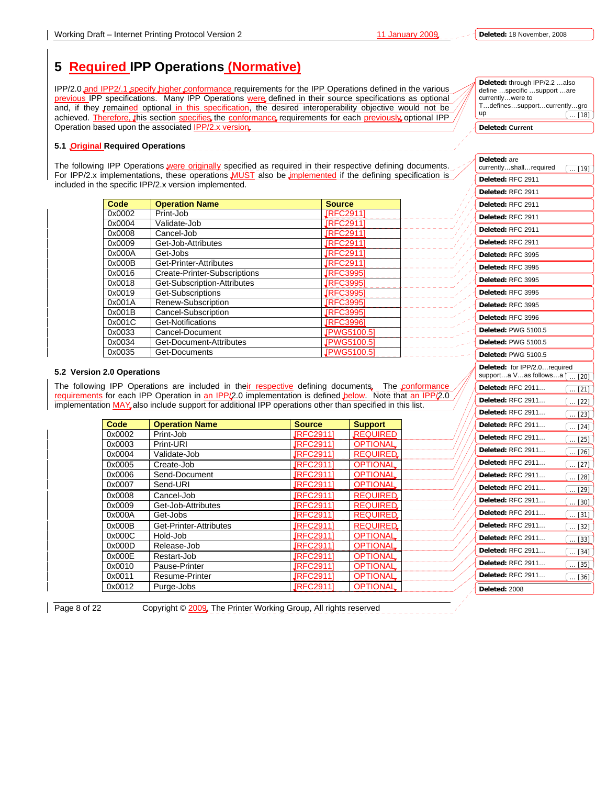**Deleted:** through IPP/2.2 …also define …specific …support …are

up

# **5 Required IPP Operations (Normative)**

IPP/2.0 and IPP2/.1 specify higher conformance requirements for the IPP Operations defined in the various previous IPP specifications. Many IPP Operations were defined in their source specifications as optional and, if they remained optional in this specification, the desired interoperability objective would not be achieved. Therefore, this section specifies the conformance requirements for each previously optional IPP Operation based upon the associated **IPP/2.x version** 

#### **5.1 Original Required Operations**

The following IPP Operations were originally specified as required in their respective defining documents. For IPP/2.x implementations, these operations **MUST** also be *implemented* if the defining specification is included in the specific IPP/2.x version implemented.

| Code   | <b>Operation Name</b>        | <b>Source</b>      |
|--------|------------------------------|--------------------|
| 0x0002 | Print-Job                    | <b>JRFC29111</b>   |
| 0x0004 | Validate-Job                 | <b>JRFC2911</b>    |
| 0x0008 | Cancel-Job                   | <b>JRFC29111</b>   |
| 0x0009 | Get-Job-Attributes           | <b>JRFC29111</b>   |
| 0x000A | Get-Jobs                     | <b>JRFC29111</b>   |
| 0x000B | Get-Printer-Attributes       | <b>JRFC29111</b>   |
| 0x0016 | Create-Printer-Subscriptions | <b>JRFC39951</b>   |
| 0x0018 | Get-Subscription-Attributes  | <b>JRFC3995</b>    |
| 0x0019 | Get-Subscriptions            | <b>JRFC39951</b>   |
| 0x001A | Renew-Subscription           | <b>JRFC39951</b>   |
| 0x001B | Cancel-Subscription          | <b>JRFC39951</b>   |
| 0x001C | Get-Notifications            | <b>JRFC39961</b>   |
| 0x0033 | Cancel-Document              | JPWG5100.51        |
| 0x0034 | Get-Document-Attributes      | JPWG5100.5]        |
| 0x0035 | Get-Documents                | <b>JPWG5100.51</b> |

#### **5.2 Version 2.0 Operations**

The following IPP Operations are included in their respective defining documents. The conformance requirements for each IPP Operation in an IPP/2.0 implementation is defined below. Note that an IPP/2.0 implementation MAY, also include support for additional IPP operations other than specified in this list.

| Code   | <b>Operation Name</b>  | <b>Source</b>    | <b>Support</b>  |
|--------|------------------------|------------------|-----------------|
| 0x0002 | Print-Job              | <b>JRFC29111</b> | <b>REQUIRED</b> |
| 0x0003 | Print-URI              | <b>JRFC29111</b> | <b>OPTIONAL</b> |
| 0x0004 | Validate-Job           | <b>JRFC29111</b> | <b>REQUIRED</b> |
| 0x0005 | Create-Job             | <b>JRFC29111</b> | <b>OPTIONAL</b> |
| 0x0006 | Send-Document          | <b>JRFC29111</b> | <b>OPTIONAL</b> |
| 0x0007 | Send-URI               | <b>JRFC29111</b> | <b>OPTIONAL</b> |
| 0x0008 | Cancel-Job             | <b>JRFC29111</b> | <b>REQUIRED</b> |
| 0x0009 | Get-Job-Attributes     | <b>JRFC29111</b> | <b>REQUIRED</b> |
| 0x000A | Get-Jobs               | <b>JRFC29111</b> | <b>REQUIRED</b> |
| 0x000B | Get-Printer-Attributes | <b>JRFC29111</b> | <b>REQUIRED</b> |
| 0x000C | Hold-Job               | <b>JRFC29111</b> | <b>OPTIONAL</b> |
| 0x000D | Release-Job            | <b>JRFC29111</b> | <b>OPTIONAL</b> |
| 0x000E | Restart-Job            | <b>JRFC29111</b> | <b>OPTIONAL</b> |
| 0x0010 | Pause-Printer          | <b>JRFC29111</b> | <b>OPTIONAL</b> |
| 0x0011 | Resume-Printer         | <b>JRFC29111</b> | <b>OPTIONAL</b> |
| 0x0012 | Purge-Jobs             | <b>JRFC29111</b> | <b>OPTIONAL</b> |

currently…were to T…defines…support…currently…gro **Deleted: Current Deleted:** are currently…shall…required **Deleted:** RFC 2911 **Deleted:** RFC 2911 **Deleted:** RFC 2911 **Deleted:** RFC 2911 **Deleted:** RFC 2911 **Deleted:** RFC 2911  $\ldots$  [18] [19]

| Deleted: RFC 3995                                                  |
|--------------------------------------------------------------------|
| Deleted: RFC 3995                                                  |
| Deleted: RFC 3995                                                  |
| Deleted: RFC 3995                                                  |
| Deleted: RFC 3995                                                  |
| Deleted: RFC 3996                                                  |
| Deleted: PWG 5100.5                                                |
| <b>Deleted: PWG 5100.5</b>                                         |
| Deleted: PWG 5100.5                                                |
| Deleted: for IPP/2.0required<br>supporta Vas followsa [<br>$$ [20] |
| Deleted: RFC 2911<br>[ [21]                                        |
| <b>Deleted: RFC 2911</b><br>$\ldots$ [22]                          |
| <b>Deleted: RFC 2911</b><br>$$ [23]                                |
| Deleted: RFC 2911<br>$\dots$ [24]                                  |
| <b>Deleted: RFC 2911</b><br>$\dots$ [25]                           |
| <b>Deleted: RFC 2911</b><br>$\ldots$ [26]                          |
| Deleted: RFC 2911<br>$\dots$ [27]                                  |
| <b>Deleted: RFC 2911</b><br>$\dots$ [28]                           |
| Deleted: RFC 2911<br>$\ldots$ [29]                                 |
| <b>Deleted: RFC 2911</b><br>$\left[\ \dots \ [30] \right]$         |
| <b>Deleted: RFC 2911</b><br>$\dots$ [31]                           |
| <b>Deleted: RFC 2911</b><br>$\dots$ [32]                           |
| Deleted: RFC 2911<br>$\dots$ [33]                                  |
| <b>Deleted: RFC 2911</b><br>$\dots$ [34]                           |
| <b>Deleted: RFC 2911</b><br>$\ldots$ [35]                          |
| Deleted: RFC 2911<br>$[36]$<br>.                                   |
| Deleted: 2008                                                      |

Page 8 of 22 Copyright © 2009, The Printer Working Group, All rights reserved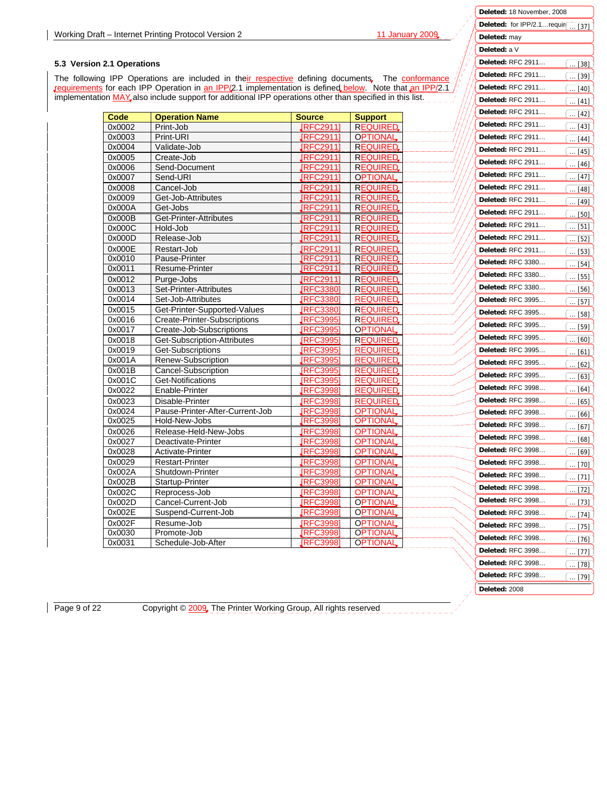**Deleted:** 18 November, 2008 Deleted: for IPP/2.1...requir<sub>(...</sub>

 $\overline{[37]}$ 

[38]

 $\boxed{[40]}$ ... [39]

**Deleted:** may **Deleted:** a V **Deleted:** RFC 2911… **Deleted:** RFC 2911… **Deleted:** RFC 2911…

### **5.3 Version 2.1 Operations**

The following IPP Operations are included in their respective defining documents. The conformance requirements for each IPP Operation in an IPP/2.1 implementation is defined below. Note that an IPP/2.1 implementation MAY also include support for additional IPP operations other than specified in this list.

| Code             | <b>Operation Name</b>               | <b>Source</b>                      | <b>Support</b>                     | Deleted: RFC 2911 |
|------------------|-------------------------------------|------------------------------------|------------------------------------|-------------------|
| 0x0002           | Print-Job                           | <b>IRFC2911</b>                    | <b>REQUIRED</b>                    | Deleted: RFC 2911 |
| 0x0003           | Print-URI                           | <b>IRFC2911</b>                    | <b>OPTIONAL</b>                    | Deleted: RFC 2911 |
| 0x0004           | Validate-Job                        | <b>JRFC29111</b>                   | <b>REQUIRED</b>                    | Deleted: RFC 2911 |
| 0x0005           | Create-Job                          | <b>JRFC29111</b>                   | <b>REQUIRED</b>                    |                   |
| 0x0006           | Send-Document                       | <b>IRFC2911</b>                    | <b>REQUIRED</b>                    | Deleted: RFC 2911 |
| 0x0007           | Send-URI                            | [RFC2911]                          | <b>OPTIONAL</b>                    | Deleted: RFC 2911 |
| 0x0008           | Cancel-Job                          | [RFC2911]                          | <b>REQUIRED</b>                    | Deleted: RFC 2911 |
| 0x0009           | Get-Job-Attributes                  | <b>IRFC2911</b>                    | <b>REQUIRED</b>                    | Deleted: RFC 2911 |
| 0x000A           | Get-Jobs                            | JRFC29111                          | <b>REQUIRED</b>                    |                   |
| 0x000B           | Get-Printer-Attributes              | [RFC2911]                          | <b>REQUIRED</b>                    | Deleted: RFC 2911 |
| 0x000C           | Hold-Job                            | JRFC2911]                          | <b>REQUIRED</b>                    | Deleted: RFC 2911 |
| 0x000D           | Release-Job                         | <b>[RFC2911]</b>                   | <b>REQUIRED</b>                    | Deleted: RFC 2911 |
| 0x000E           | Restart-Job                         | <b>IRFC2911</b>                    | <b>REQUIRED</b>                    | Deleted: RFC 2911 |
| 0x0010           | Pause-Printer                       | <b>JRFC2911</b>                    | <b>REQUIRED</b>                    | Deleted: RFC 3380 |
| 0x0011           | Resume-Printer                      | <u> [RFC2911]</u>                  | <b>REQUIRED</b>                    |                   |
| 0x0012           | Purge-Jobs                          | JRFC29111                          | <b>REQUIRED.</b>                   | Deleted: RFC 3380 |
| 0x0013           | Set-Printer-Attributes              | <b>JRFC3380</b>                    | <b>REQUIRED</b>                    | Deleted: RFC 3380 |
| 0x0014           | Set-Job-Attributes                  | <b>IRFC3380</b>                    | <b>REQUIRED</b>                    | Deleted: RFC 3995 |
| 0x0015           | Get-Printer-Supported-Values        | <b>JRFC33801</b>                   | <b>REQUIRED</b>                    | Deleted: RFC 3995 |
| 0x0016           | <b>Create-Printer-Subscriptions</b> | <b>IRFC39951</b>                   | <b>REQUIRED</b>                    | Deleted: RFC 3995 |
| 0x0017           | Create-Job-Subscriptions            | <b>JRFC3995</b>                    | <b>OPTIONAL</b>                    |                   |
| 0x0018           | Get-Subscription-Attributes         | <b>JRFC3995</b>                    | <b>REQUIRED</b>                    | Deleted: RFC 3995 |
| 0x0019           | Get-Subscriptions                   | <b>JRFC39951</b>                   | <b>REQUIRED</b>                    | Deleted: RFC 3995 |
| 0x001A           | Renew-Subscription                  | <b>IRFC3995</b>                    | <b>REQUIRED</b>                    | Deleted: RFC 3995 |
| 0x001B           | Cancel-Subscription                 | <b>IRFC3995</b>                    | <b>REQUIRED</b>                    | Deleted: RFC 3995 |
| 0x001C           | Get-Notifications                   | <b>IRFC3995</b>                    | <b>REQUIRED</b>                    | Deleted: RFC 3998 |
| 0x0022           | Enable-Printer                      | <b>IRFC3998</b>                    | <b>REQUIRED</b>                    |                   |
| 0x0023           | Disable-Printer                     | <b>IRFC3998</b>                    | <b>REQUIRED</b>                    | Deleted: RFC 3998 |
| 0x0024           | Pause-Printer-After-Current-Job     | <b>IRFC3998</b>                    | <b>OPTIONAL</b>                    | Deleted: RFC 3998 |
| 0x0025           | Hold-New-Jobs                       | [RFC3998]                          | <b>OPTIONAL</b>                    | Deleted: RFC 3998 |
| 0x0026           | Release-Held-New-Jobs               | <b>IRFC3998</b>                    | <b>OPTIONAL</b>                    | Deleted: RFC 3998 |
| 0x0027           | Deactivate-Printer                  | <b>IRFC3998</b>                    | <b>OPTIONAL</b>                    |                   |
| 0x0028           | Activate-Printer                    | <b>JRFC3998</b>                    | <b>OPTIONAL</b>                    | Deleted: RFC 3998 |
| 0x0029           | <b>Restart-Printer</b>              | <b>IRFC3998</b>                    | <b>OPTIONAL</b>                    | Deleted: RFC 3998 |
| 0x002A           | Shutdown-Printer                    | <b>IRFC3998</b>                    | <b>OPTIONAL</b>                    | Deleted: RFC 3998 |
| 0x002B           | Startup-Printer                     | <b>IRFC3998</b>                    | <b>OPTIONAL</b>                    | Deleted: RFC 3998 |
| 0x002C           | Reprocess-Job                       | <b>IRFC3998</b>                    | <b>OPTIONAL</b>                    | Deleted: RFC 3998 |
| 0x002D           | Cancel-Current-Job                  | JRFC3998]                          | <b>OPTIONAL</b>                    |                   |
| 0x002E           | Suspend-Current-Job                 | <b>IRFC3998</b>                    | <b>OPTIONAL</b>                    | Deleted: RFC 3998 |
| 0x002F<br>0x0030 | Resume-Job                          | <b>IRFC3998</b><br><b>IRFC3998</b> | <b>OPTIONAL</b><br><b>OPTIONAL</b> | Deleted: RFC 3998 |
| 0x0031           | Promote-Job<br>Schedule-Job-After   | <b>IRFC3998</b>                    | <b>OPTIONAL</b>                    | Deleted: RFC 3998 |
|                  |                                     |                                    |                                    | Deleted: RFC 3998 |

**Deleted:** RFC 3998… **Deleted:** RFC 3998…

 $\overline{[79]}$  $\boxed{... [78]}$ 

Page 9 of 22 Copyright © 2009, The Printer Working Group, All rights reserved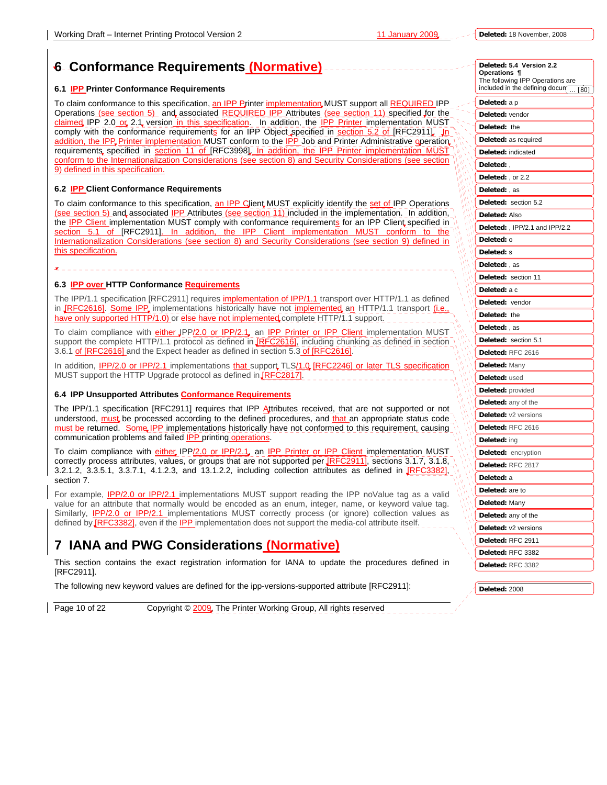# **6 Conformance Requirements (Normative)**

#### **6.1 IPP Printer Conformance Requirements**

To claim conformance to this specification, an IPP Printer implementation MUST support all REQUIRED IPP Operations (see section 5) and associated REQUIRED IPP Attributes (see section 11) specified for the claimed IPP 2.0 or 2.1 version in this specification. In addition, the IPP Printer implementation MUST comply with the conformance requirements for an IPP Object specified in section 5.2 of [RFC2911]. In addition, the IPP Printer implementation MUST conform to the IPP Job and Printer Administrative operation requirements, specified in section 11 of [RFC3998]. In addition, the IPP Printer implementation MUST conform to the Internationalization Considerations (see section 8) and Security Considerations (see section 9) defined in this specification.

#### **6.2 IPP Client Conformance Requirements**

To claim conformance to this specification, an IPP Client MUST explicitly identify the set of IPP Operations (see section 5) and associated IPP Attributes (see section 11) included in the implementation. In addition, the IPP Client implementation MUST comply with conformance requirements for an IPP Client specified in section 5.1 of [RFC2911]. In addition, the IPP Client implementation MUST conform to the Internationalization Considerations (see section 8) and Security Considerations (see section 9) defined in this specification.

#### **6.3 IPP over HTTP Conformance Requirements**

.

The IPP/1.1 specification [RFC2911] requires implementation of IPP/1.1 transport over HTTP/1.1 as defined in *IRFC2616].* Some IPP, implementations historically have not *implemented*, an HTTP/1.1 transport *(i.e.*) have only supported HTTP/1.0) or else have not implemented complete HTTP/1.1 support.

To claim compliance with either JPP/2.0 or IPP/2.1, an IPP Printer or IPP Client implementation MUST support the complete HTTP/1.1 protocol as defined in **IRFC2616**, including chunking as defined in section 3.6.1 of [RFC2616] and the Expect header as defined in section 5.3 of [RFC2616].

In addition, IPP/2.0 or IPP/2.1 implementations that support TLS/1.0 [RFC2246] or later TLS specific MUST support the HTTP Upgrade protocol as defined in [RFC2817].

#### **6.4 IPP Unsupported Attributes Conformance Requirements**

The IPP/1.1 specification [RFC2911] requires that IPP Attributes received, that are not supported or not understood, must be processed according to the defined procedures, and that an appropriate status code must be returned. Some IPP implementations historically have not conformed to this requirement, causing communication problems and failed IPP printing operations.

To claim compliance with either IPP/2.0 or IPP/2.1, an IPP Printer or IPP Client implementation MUST correctly process attributes, values, or groups that are not supported per **RFC2911**, sections 3.1.7, 3.1.8, 3.2.1.2, 3.3.5.1, 3.3.7.1, 4.1.2.3, and 13.1.2.2, including collection attributes as defined in  $\sqrt{\text{RFC}}$ section 7.

For example, IPP/2.0 or IPP/2.1 implementations MUST support reading the IPP noValue tag as a valid value for an attribute that normally would be encoded as an enum, integer, name, or keyword value tag. Similarly, IPP/2.0 or IPP/2.1 implementations MUST correctly process (or ignore) collection values as defined by **[RFC3382]**, even if the **IPP** implementation does not support the media-col attribute itself.

# **7 IANA and PWG Considerations (Normative)**

This section contains the exact registration information for IANA to update the procedures defined in [RFC2911].

The following new keyword values are defined for the ipp-versions-supported attribute [RFC2911]:

Page 10 of 22 Copyright © 2009, The Printer Working Group, All rights reserved

|   | Deleted: 5.4 Version 2.2<br>Operations ¶<br>The following IPP Operations are<br>included in the defining docun  [80] |
|---|----------------------------------------------------------------------------------------------------------------------|
|   |                                                                                                                      |
|   | <b>Deleted:</b> a p                                                                                                  |
|   | Deleted: vendor                                                                                                      |
|   | Deleted: the                                                                                                         |
|   | Deleted: as required                                                                                                 |
|   | Deleted: indicated                                                                                                   |
|   | Deleted:,                                                                                                            |
|   | Deleted: , or 2.2                                                                                                    |
|   | Deleted:, as                                                                                                         |
|   | Deleted: section 5.2                                                                                                 |
|   | Deleted: Also                                                                                                        |
|   | Deleted:, IPP/2.1 and IPP/2.2                                                                                        |
|   | Deleted: o                                                                                                           |
|   | Deleted: s                                                                                                           |
|   | Deleted:, as                                                                                                         |
| ١ | Deleted: section 11                                                                                                  |
|   | <b>Deleted:</b> a c                                                                                                  |
|   | Deleted: vendor                                                                                                      |
|   | Deleted: the                                                                                                         |
|   | Deleted:, as                                                                                                         |
|   | Deleted: section 5.1                                                                                                 |
|   | Deleted: RFC 2616                                                                                                    |
|   | <b>Deleted: Many</b>                                                                                                 |
|   | Deleted: used                                                                                                        |
|   | <b>Deleted:</b> provided                                                                                             |
|   | <b>Deleted:</b> any of the                                                                                           |
|   | <b>Deleted:</b> v2 versions                                                                                          |
|   | Deleted: RFC 2616                                                                                                    |
|   | Deleted: ing                                                                                                         |
|   | Deleted: encryption                                                                                                  |
|   | Deleted: RFC 2817                                                                                                    |
|   | Deleted: a                                                                                                           |
|   | <b>Deleted:</b> are to                                                                                               |
|   | <b>Deleted:</b> Many                                                                                                 |
|   | Deleted: any of the                                                                                                  |
|   | Deleted: v2 versions                                                                                                 |
|   | Deleted: RFC 2911                                                                                                    |
|   | Deleted: RFC 3382                                                                                                    |
|   | Deleted: RFC 3382                                                                                                    |
|   |                                                                                                                      |
|   |                                                                                                                      |

**Deleted:** 2008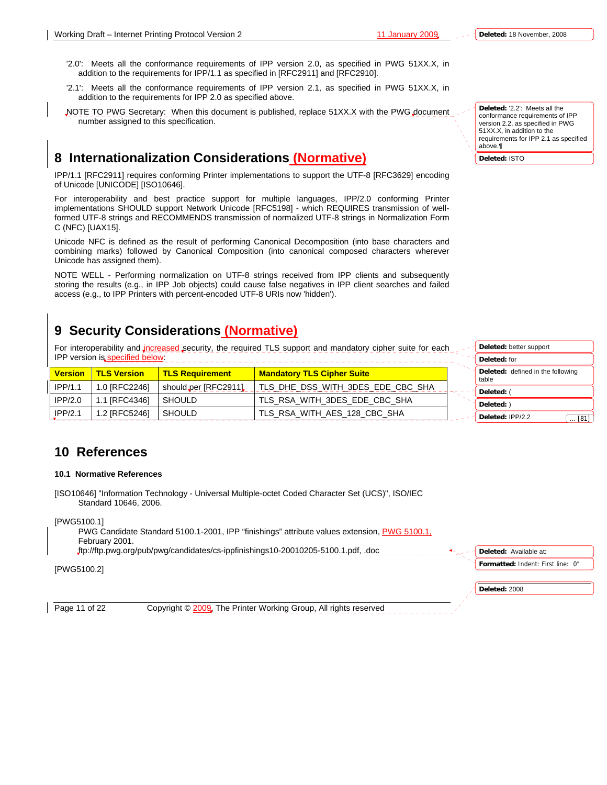'2.0': Meets all the conformance requirements of IPP version 2.0, as specified in PWG 51XX.X, in addition to the requirements for IPP/1.1 as specified in [RFC2911] and [RFC2910].

- '2.1': Meets all the conformance requirements of IPP version 2.1, as specified in PWG 51XX.X, in addition to the requirements for IPP 2.0 as specified above.
- NOTE TO PWG Secretary: When this document is published, replace 51XX.X with the PWG document number assigned to this specification.

### **8 Internationalization Considerations (Normative)**

IPP/1.1 [RFC2911] requires conforming Printer implementations to support the UTF-8 [RFC3629] encoding of Unicode [UNICODE] [ISO10646].

For interoperability and best practice support for multiple languages, IPP/2.0 conforming Printer implementations SHOULD support Network Unicode [RFC5198] - which REQUIRES transmission of wellformed UTF-8 strings and RECOMMENDS transmission of normalized UTF-8 strings in Normalization Form C (NFC) [UAX15].

Unicode NFC is defined as the result of performing Canonical Decomposition (into base characters and combining marks) followed by Canonical Composition (into canonical composed characters wherever Unicode has assigned them).

NOTE WELL - Performing normalization on UTF-8 strings received from IPP clients and subsequently storing the results (e.g., in IPP Job objects) could cause false negatives in IPP client searches and failed access (e.g., to IPP Printers with percent-encoded UTF-8 URIs now 'hidden').

# **9 Security Considerations (Normative)**

For interoperability and increased security, the required TLS support and mandatory cipher suite for each IPP version is specified below:

| <b>Version</b> | <u>l TLS Version </u> | <b>TLS Requirement</b> | <b>Mandatory TLS Cipher Suite</b> | Deleted: defined in the following<br>table |
|----------------|-----------------------|------------------------|-----------------------------------|--------------------------------------------|
| IPP/1.1        | 1.0 IRFC22461         | should per [RFC2911]   | TLS DHE DSS WITH 3DES EDE CBC SHA | Deleted:                                   |
| IPP/2.0        | 1.1 IRFC43461         | <b>SHOULD</b>          | TLS RSA WITH 3DES EDE CBC SHA     | Deleted: )                                 |
| IPP/2.1        | 1.2 [RFC5246]         | <b>SHOULD</b>          | TLS RSA WITH AES 128 CBC SHA      | Deleted: IPP/2.2<br>$\dots$ [81]           |

# **10 References**

#### **10.1 Normative References**

[ISO10646] "Information Technology - Universal Multiple-octet Coded Character Set (UCS)", ISO/IEC Standard 10646, 2006.

[PWG5100.1]

 PWG Candidate Standard 5100.1-2001, IPP "finishings" attribute values extension, PWG 5100.1, February 2001. ftp://ftp.pwg.org/pub/pwg/candidates/cs-ippfinishings10-20010205-5100.1.pdf, .doc

[PWG5100.2]

Page 11 of 22 Copyright © 2009, The Printer Working Group, All rights reserved

**Deleted:** ISTO

**Deleted:** better support **Deleted:** for

**Formatted:** Indent: First line: 0" **Deleted:** Available at:

**Deleted:** 2008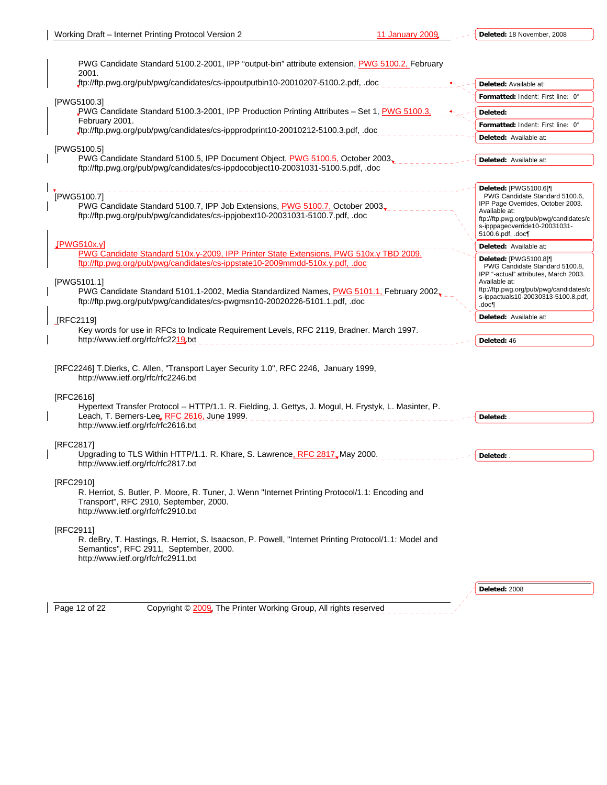| 2001.          | PWG Candidate Standard 5100.2-2001, IPP "output-bin" attribute extension, PWG 5100.2, February                                                                                               |                                                                                                                                                                                                               |
|----------------|----------------------------------------------------------------------------------------------------------------------------------------------------------------------------------------------|---------------------------------------------------------------------------------------------------------------------------------------------------------------------------------------------------------------|
|                | ftp://ftp.pwg.org/pub/pwg/candidates/cs-ippoutputbin10-20010207-5100.2.pdf, .doc                                                                                                             | Deleted: Available at:                                                                                                                                                                                        |
| [PWG5100.3]    |                                                                                                                                                                                              | Formatted: Indent: First line: 0"                                                                                                                                                                             |
|                | PWG Candidate Standard 5100.3-2001, IPP Production Printing Attributes - Set 1, PWG 5100.3,                                                                                                  | Deleted:                                                                                                                                                                                                      |
| February 2001. |                                                                                                                                                                                              | Formatted: Indent: First line: 0"                                                                                                                                                                             |
|                | ftp://ftp.pwg.org/pub/pwg/candidates/cs-ippprodprint10-20010212-5100.3.pdf, .doc                                                                                                             | Deleted: Available at:                                                                                                                                                                                        |
| [PWG5100.5]    | PWG Candidate Standard 5100.5, IPP Document Object, PWG 5100.5, October 2003,<br>ftp://ftp.pwg.org/pub/pwg/candidates/cs-ippdocobject10-20031031-5100.5.pdf, .doc                            | Deleted: Available at:                                                                                                                                                                                        |
| [PWG5100.7]    | PWG Candidate Standard 5100.7, IPP Job Extensions, PWG 5100.7, October 2003.<br>ftp://ftp.pwg.org/pub/pwg/candidates/cs-ippjobext10-20031031-5100.7.pdf, .doc                                | Deleted: [PWG5100.6]¶<br>PWG Candidate Standard 5100.6,<br>IPP Page Overrides, October 2003.<br>Available at:<br>ftp://ftp.pwg.org/pub/pwg/candidates/c<br>s-ipppageoverride10-20031031-<br>5100.6.pdf, .doc¶ |
| IPWG510x.y     |                                                                                                                                                                                              | Deleted: Available at:                                                                                                                                                                                        |
|                | PWG Candidate Standard 510x.y-2009, IPP Printer State Extensions, PWG 510x.y TBD 2009.<br>ftp://ftp.pwg.org/pub/pwg/candidates/cs-ippstate10-2009mmdd-510x.y.pdf, .doc                       | Deleted: [PWG5100.8][<br>PWG Candidate Standard 5100.8,<br>IPP "-actual" attributes, March 2003.                                                                                                              |
| [PWG5101.1]    | PWG Candidate Standard 5101.1-2002, Media Standardized Names, PWG 5101.1, February 2002,<br>ftp://ftp.pwg.org/pub/pwg/candidates/cs-pwgmsn10-20020226-5101.1.pdf, .doc                       | Available at:<br>ftp://ftp.pwg.org/pub/pwg/candidates/c<br>s-ippactuals10-20030313-5100.8.pdf,<br>.doc¶                                                                                                       |
| [RFC2119]      |                                                                                                                                                                                              | Deleted: Available at:                                                                                                                                                                                        |
|                | Key words for use in RFCs to Indicate Requirement Levels, RFC 2119, Bradner. March 1997.<br>http://www.ietf.org/rfc/rfc2219.txt                                                              | Deleted: 46                                                                                                                                                                                                   |
|                | [RFC2246] T.Dierks, C. Allen, "Transport Layer Security 1.0", RFC 2246, January 1999,<br>http://www.ietf.org/rfc/rfc2246.txt                                                                 |                                                                                                                                                                                                               |
| [RFC2616]      | Hypertext Transfer Protocol -- HTTP/1.1. R. Fielding, J. Gettys, J. Mogul, H. Frystyk, L. Masinter, P.<br>Leach, T. Berners-Lee, RFC 2616, June 1999.<br>http://www.ietf.org/rfc/rfc2616.txt | Deleted: .                                                                                                                                                                                                    |
|                |                                                                                                                                                                                              |                                                                                                                                                                                                               |
| [RFC2817]      | Upgrading to TLS Within HTTP/1.1. R. Khare, S. Lawrence, RFC 2817, May 2000.<br>http://www.ietf.org/rfc/rfc2817.txt                                                                          | Deleted: .                                                                                                                                                                                                    |
| [RFC2910]      | R. Herriot, S. Butler, P. Moore, R. Tuner, J. Wenn "Internet Printing Protocol/1.1: Encoding and<br>Transport", RFC 2910, September, 2000.<br>http://www.ietf.org/rfc/rfc2910.txt            |                                                                                                                                                                                                               |
| [RFC2911]      | R. deBry, T. Hastings, R. Herriot, S. Isaacson, P. Powell, "Internet Printing Protocol/1.1: Model and<br>Semantics", RFC 2911, September, 2000.<br>http://www.ietf.org/rfc/rfc2911.txt       |                                                                                                                                                                                                               |
|                |                                                                                                                                                                                              | Deleted: 2008                                                                                                                                                                                                 |

Page 12 of 22 Copyright © 2009, The Printer Working Group, All rights reserved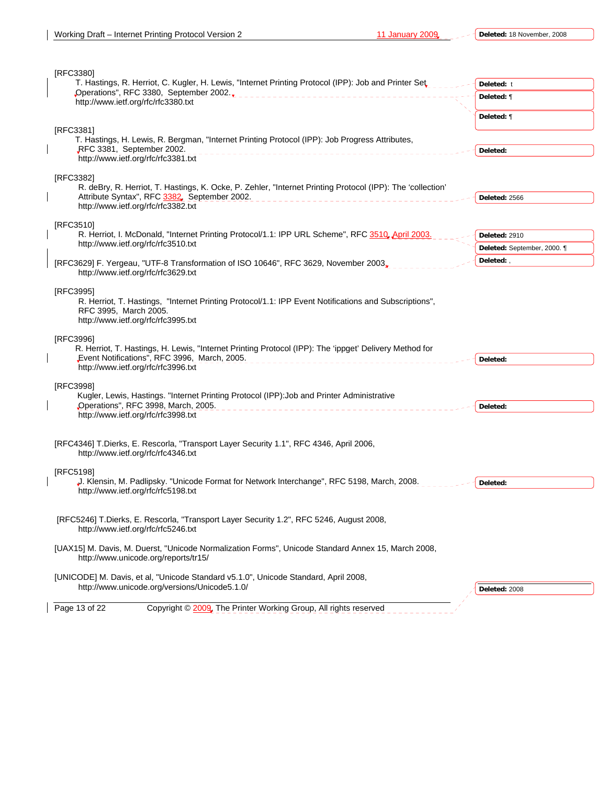| [RFC3380]                                                                                                                                        |                             |
|--------------------------------------------------------------------------------------------------------------------------------------------------|-----------------------------|
| T. Hastings, R. Herriot, C. Kugler, H. Lewis, "Internet Printing Protocol (IPP): Job and Printer Set,<br>"Operations", RFC 3380, September 2002. | Deleted: t                  |
| http://www.ietf.org/rfc/rfc3380.txt                                                                                                              | Deleted: ¶                  |
|                                                                                                                                                  | Deleted: ¶                  |
| [RFC3381]                                                                                                                                        |                             |
| T. Hastings, H. Lewis, R. Bergman, "Internet Printing Protocol (IPP): Job Progress Attributes,<br>RFC 3381, September 2002.                      |                             |
| http://www.ietf.org/rfc/rfc3381.txt                                                                                                              | Deleted:                    |
|                                                                                                                                                  |                             |
| [RFC3382]<br>R. deBry, R. Herriot, T. Hastings, K. Ocke, P. Zehler, "Internet Printing Protocol (IPP): The 'collection'                          |                             |
| Attribute Syntax", RFC 3382, September 2002.                                                                                                     | Deleted: 2566               |
| http://www.ietf.org/rfc/rfc3382.txt                                                                                                              |                             |
| [RFC3510]                                                                                                                                        |                             |
| R. Herriot, I. McDonald, "Internet Printing Protocol/1.1: IPP URL Scheme", RFC 3510, April 2003.                                                 | Deleted: 2910               |
| http://www.ietf.org/rfc/rfc3510.txt                                                                                                              | Deleted: September, 2000. ¶ |
| [RFC3629] F. Yergeau, "UTF-8 Transformation of ISO 10646", RFC 3629, November 2003,                                                              | Deleted: .                  |
| http://www.ietf.org/rfc/rfc3629.txt                                                                                                              |                             |
|                                                                                                                                                  |                             |
| [RFC3995]                                                                                                                                        |                             |
| R. Herriot, T. Hastings, "Internet Printing Protocol/1.1: IPP Event Notifications and Subscriptions",<br>RFC 3995, March 2005.                   |                             |
| http://www.ietf.org/rfc/rfc3995.txt                                                                                                              |                             |
|                                                                                                                                                  |                             |
| [RFC3996]<br>R. Herriot, T. Hastings, H. Lewis, "Internet Printing Protocol (IPP): The 'ippget' Delivery Method for                              |                             |
| Event Notifications", RFC 3996, March, 2005.                                                                                                     | Deleted:                    |
| http://www.ietf.org/rfc/rfc3996.txt                                                                                                              |                             |
| [RFC3998]                                                                                                                                        |                             |
| Kugler, Lewis, Hastings. "Internet Printing Protocol (IPP): Job and Printer Administrative                                                       |                             |
| Operations", RFC 3998, March, 2005.                                                                                                              | Deleted:                    |
| http://www.ietf.org/rfc/rfc3998.txt                                                                                                              |                             |
|                                                                                                                                                  |                             |
| [RFC4346] T.Dierks, E. Rescorla, "Transport Layer Security 1.1", RFC 4346, April 2006,                                                           |                             |
| http://www.ietf.org/rfc/rfc4346.txt                                                                                                              |                             |
| [RFC5198]                                                                                                                                        |                             |
| . Klensin, M. Padlipsky. "Unicode Format for Network Interchange", RFC 5198, March, 2008.                                                        | Deleted:                    |
| http://www.ietf.org/rfc/rfc5198.txt                                                                                                              |                             |
|                                                                                                                                                  |                             |
| [RFC5246] T.Dierks, E. Rescorla, "Transport Layer Security 1.2", RFC 5246, August 2008,                                                          |                             |
| http://www.ietf.org/rfc/rfc5246.txt                                                                                                              |                             |
| [UAX15] M. Davis, M. Duerst, "Unicode Normalization Forms", Unicode Standard Annex 15, March 2008,                                               |                             |
| http://www.unicode.org/reports/tr15/                                                                                                             |                             |
|                                                                                                                                                  |                             |
| [UNICODE] M. Davis, et al, "Unicode Standard v5.1.0", Unicode Standard, April 2008,<br>http://www.unicode.org/versions/Unicode5.1.0/             | Deleted: 2008               |
|                                                                                                                                                  |                             |
| Page 13 of 22<br>Copyright © 2009, The Printer Working Group, All rights reserved                                                                |                             |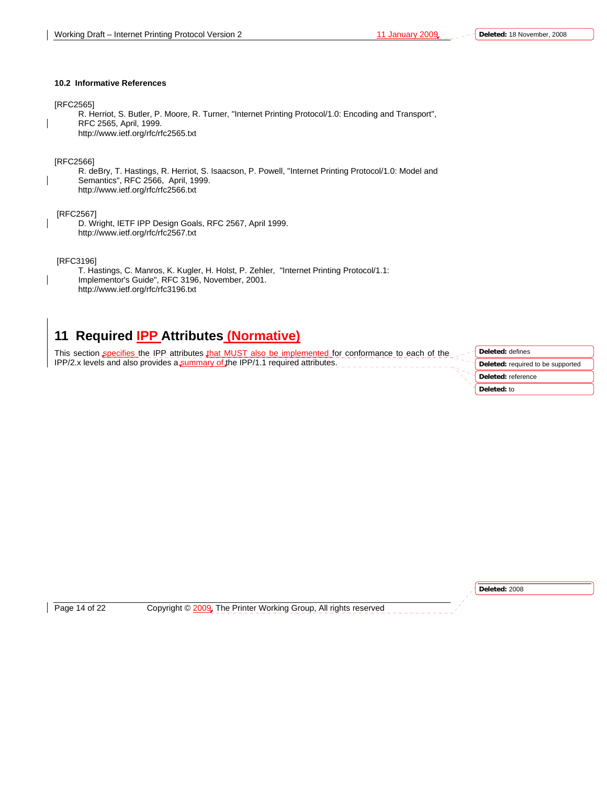#### **10.2 Informative References**

#### [RFC2565]

R. Herriot, S. Butler, P. Moore, R. Turner, "Internet Printing Protocol/1.0: Encoding and Transport", RFC 2565, April, 1999. http://www.ietf.org/rfc/rfc2565.txt

#### [RFC2566]

R. deBry, T. Hastings, R. Herriot, S. Isaacson, P. Powell, "Internet Printing Protocol/1.0: Model and Semantics", RFC 2566, April, 1999. http://www.ietf.org/rfc/rfc2566.txt

#### [RFC2567]

D. Wright, IETF IPP Design Goals, RFC 2567, April 1999. http://www.ietf.org/rfc/rfc2567.txt

[RFC3196]

T. Hastings, C. Manros, K. Kugler, H. Holst, P. Zehler, "Internet Printing Protocol/1.1: Implementor's Guide", RFC 3196, November, 2001. http://www.ietf.org/rfc/rfc3196.txt

### **11 Required IPP Attributes (Normative)**

This section specifies the IPP attributes that MUST also be implemented for conformance to each of the IPP/2.x levels and also provides a summary of the IPP/1.1 required attributes.

**Deleted:** defines **Deleted:** required to be supported **Deleted:** reference **Deleted:** to

**Deleted:** 2008

Page 14 of 22 Copyright © 2009, The Printer Working Group, All rights reserved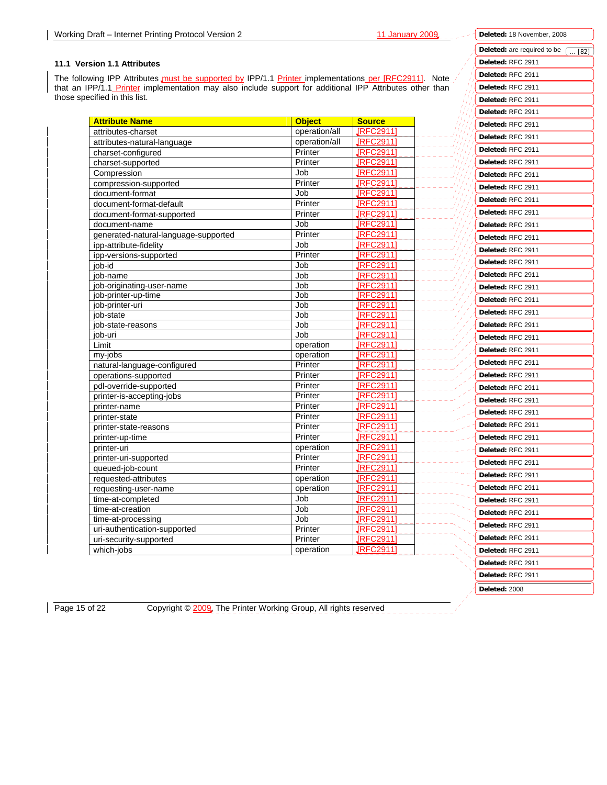#### **11.1 Version 1.1 Attributes**

The following IPP Attributes must be supported by IPP/1.1 Printer implementations per [RFC2911]. Note that an IPP/1.1 Printer implementation may also include support for additional IPP Attributes other than those specified in this list.

| <b>Attribute Name</b>                | <b>Object</b> | <b>Source</b>   |  |
|--------------------------------------|---------------|-----------------|--|
| attributes-charset                   | operation/all | <b>JRFC2911</b> |  |
| attributes-natural-language          | operation/all | <b>IRFC2911</b> |  |
| charset-configured                   | Printer       | <b>JRFC2911</b> |  |
| charset-supported                    | Printer       | <b>IRFC2911</b> |  |
| Compression                          | Job           | <b>IRFC2911</b> |  |
| compression-supported                | Printer       | <b>IRFC2911</b> |  |
| document-format                      | Job           | <b>JRFC2911</b> |  |
| document-format-default              | Printer       | <b>IRFC2911</b> |  |
| document-format-supported            | Printer       | <b>IRFC2911</b> |  |
| document-name                        | Job           | <b>IRFC2911</b> |  |
| generated-natural-language-supported | Printer       | <b>JRFC2911</b> |  |
| ipp-attribute-fidelity               | Job           | <b>IRFC2911</b> |  |
| ipp-versions-supported               | Printer       | <b>IRFC2911</b> |  |
| job-id                               | Job           | <b>JRFC2911</b> |  |
| job-name                             | Job           | <b>JRFC2911</b> |  |
| job-originating-user-name            | Job           | <b>IRFC2911</b> |  |
| job-printer-up-time                  | Job           | <b>JRFC2911</b> |  |
| job-printer-uri                      | Job           | <b>JRFC2911</b> |  |
| iob-state                            | Job           | <b>IRFC2911</b> |  |
| job-state-reasons                    | Job           | <b>IRFC2911</b> |  |
| job-uri                              | Job           | <b>JRFC2911</b> |  |
| Limit                                | operation     | <b>IRFC2911</b> |  |
| my-jobs                              | operation     | <b>JRFC2911</b> |  |
| natural-language-configured          | Printer       | <b>IRFC2911</b> |  |
| operations-supported                 | Printer       | <b>IRFC2911</b> |  |
| pdl-override-supported               | Printer       | <b>IRFC2911</b> |  |
| printer-is-accepting-jobs            | Printer       | <b>JRFC2911</b> |  |
| printer-name                         | Printer       | <b>JRFC2911</b> |  |
| printer-state                        | Printer       | <b>IRFC2911</b> |  |
| printer-state-reasons                | Printer       | <b>IRFC2911</b> |  |
| printer-up-time                      | Printer       | <b>JRFC2911</b> |  |
| printer-uri                          | operation     | <b>JRFC2911</b> |  |
| printer-uri-supported                | Printer       | <b>IRFC2911</b> |  |
| queued-job-count                     | Printer       | <b>IRFC2911</b> |  |
| requested-attributes                 | operation     | <b>JRFC2911</b> |  |
| requesting-user-name                 | operation     | <b>JRFC2911</b> |  |
| time-at-completed                    | Job           | <b>IRFC2911</b> |  |
| time-at-creation                     | Job           | <b>IRFC2911</b> |  |
| time-at-processing                   | Job           | <b>IRFC2911</b> |  |
| uri-authentication-supported         | Printer       | <b>JRFC2911</b> |  |
| uri-security-supported               | Printer       | <b>IRFC2911</b> |  |
| which-jobs                           | operation     | <b>JRFC2911</b> |  |

Deleted: are required to be  $\sqrt{1682}$ **Deleted:** RFC 2911 **Deleted:** RFC 2911 **Deleted:** RFC 2911 **Deleted:** RFC 2911 **Deleted:** RFC 2911 **Deleted:** RFC 2911 **Deleted:** RFC 2911 **Deleted:** RFC 2911 **Deleted:** RFC 2911 **Deleted:** RFC 2911 **Deleted:** RFC 2911 **Deleted:** RFC 2911 **Deleted:** RFC 2911 **Deleted:** RFC 2911 **Deleted:** RFC 2911 **Deleted:** RFC 2911 **Deleted:** RFC 2911 **Deleted:** RFC 2911 **Deleted:** RFC 2911 **Deleted:** RFC 2911 **Deleted:** RFC 2911 **Deleted:** RFC 2911 **Deleted:** RFC 2911 **Deleted:** RFC 2911 **Deleted:** RFC 2911 **Deleted:** RFC 2911 **Deleted:** RFC 2911 **Deleted:** RFC 2911 **Deleted:** RFC 2911 **Deleted:** RFC 2911 **Deleted:** RFC 2911 **Deleted:** RFC 2911 **Deleted:** RFC 2911 **Deleted:** RFC 2911 **Deleted:** RFC 2911 **Deleted:** RFC 2911 **Deleted:** RFC 2911 **Deleted:** RFC 2911 **Deleted:** RFC 2911 **Deleted:** RFC 2911 **Deleted:** RFC 2911 **Deleted:** RFC 2911 **Deleted:** 2008

**Deleted:** 18 November, 2008

Page 15 of 22 Copyright © 2009, The Printer Working Group, All rights reserved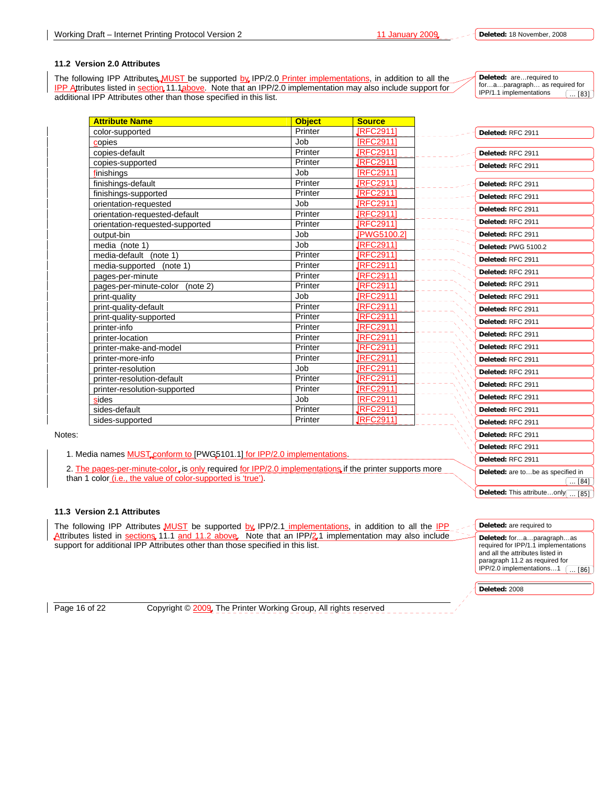#### **11.2 Version 2.0 Attributes**

The following IPP Attributes MUST be supported by IPP/2.0 Printer implementations, in addition to all the IPP Attributes listed in section 11.1above. Note that an IPP/2.0 implementation may also include support for additional IPP Attributes other than those specified in this list.

**Deleted:** are…required to for…a…paragraph… as required for IPP/1.1 implementations ... [83]

| <b>Attribute Name</b>           | <b>Object</b> | <b>Source</b>    |                     |  |
|---------------------------------|---------------|------------------|---------------------|--|
| color-supported                 | Printer       | <b>IRFC2911</b>  | Deleted: RFC 2911   |  |
| copies                          | Job           | <b>IRFC29111</b> |                     |  |
| copies-default                  | Printer       | <b>JRFC29111</b> | Deleted: RFC 2911   |  |
| copies-supported                | Printer       | <b>IRFC2911</b>  | Deleted: RFC 2911   |  |
| finishings                      | Job           | [RFC2911]        |                     |  |
| finishings-default              | Printer       | <b>JRFC29111</b> | Deleted: RFC 2911   |  |
| finishings-supported            | Printer       | <b>JRFC29111</b> | Deleted: RFC 2911   |  |
| orientation-requested           | Job           | <b>JRFC29111</b> | Deleted: RFC 2911   |  |
| orientation-requested-default   | Printer       | <b>JRFC29111</b> |                     |  |
| orientation-requested-supported | Printer       | <b>JRFC29111</b> | Deleted: RFC 2911   |  |
| output-bin                      | Job           | JPWG5100.2]      | Deleted: RFC 2911   |  |
| media (note 1)                  | Job           | <b>JRFC29111</b> | Deleted: PWG 5100.2 |  |
| media-default (note 1)          | Printer       | <b>JRFC29111</b> | Deleted: RFC 2911   |  |
| (note 1)<br>media-supported     | Printer       | <b>JRFC29111</b> | Deleted: RFC 2911   |  |
| pages-per-minute                | Printer       | <b>IRFC29111</b> |                     |  |
| pages-per-minute-color (note 2) | Printer       | <b>JRFC29111</b> | Deleted: RFC 2911   |  |
| print-quality                   | Job           | <b>JRFC29111</b> | Deleted: RFC 2911   |  |
| print-quality-default           | Printer       | <b>IRFC2911</b>  | Deleted: RFC 2911   |  |
| print-quality-supported         | Printer       | <b>JRFC29111</b> | Deleted: RFC 2911   |  |
| printer-info                    | Printer       | <b>JRFC29111</b> |                     |  |
| printer-location                | Printer       | <b>JRFC29111</b> | Deleted: RFC 2911   |  |
| printer-make-and-model          | Printer       | <b>JRFC29111</b> | Deleted: RFC 2911   |  |
| printer-more-info               | Printer       | <b>JRFC29111</b> | Deleted: RFC 2911   |  |
| printer-resolution              | Job           | <b>JRFC29111</b> | Deleted: RFC 2911   |  |
| printer-resolution-default      | Printer       | <b>JRFC29111</b> | Deleted: RFC 2911   |  |
| printer-resolution-supported    | Printer       | <b>IRFC2911</b>  |                     |  |
| sides                           | Job           | [RFC2911]        | Deleted: RFC 2911   |  |
| sides-default                   | Printer       | <b>IRFC29111</b> | Deleted: RFC 2911   |  |
| sides-supported                 | Printer       | <b>IRFC2911</b>  | Deleted: RFC 2911   |  |
|                                 |               |                  | Deleted: RFC 2911   |  |
|                                 |               |                  |                     |  |

Notes:

1. Media names **MUST** conform to [PWG5101.1] for IPP/2.0 implementations.

2. The pages-per-minute-color, is only required for IPP/2.0 implementations if the printer supports more than 1 color *(i.e., the value of color-supported is 'true')*.

#### **11.3 Version 2.1 Attributes**

The following IPP Attributes **MUST** be supported by IPP/2.1 implementations, in addition to all the IPP Attributes listed in sections 11.1 and 11.2 above. Note that an IPP/2.1 implementation may also include support for additional IPP Attributes other than those specified in this list.

**Deleted:** are required to

**Deleted:** 2008

**Deleted:** RFC 2911 **Deleted:** RFC 2911

**Deleted:** for…a…paragraph…as required for IPP/1.1 implementations and all the attributes listed in paragraph 11.2 as required for IPP/2.0 implementations…1  $. [86]$ 

**Deleted:** are to…be as specified in

 $[85]$ 

 $. [84]$ 

**Deleted:** This attribute…only

Page 16 of 22 Copyright © 2009, The Printer Working Group, All rights reserved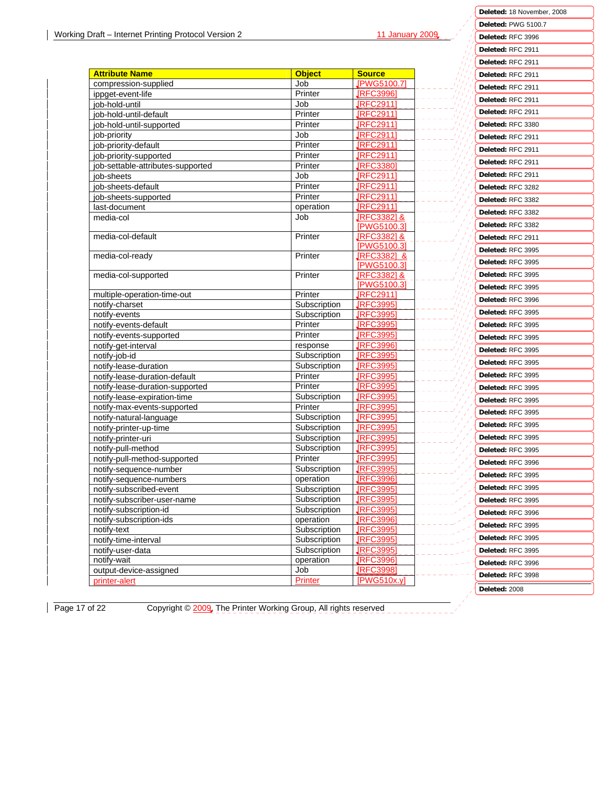Ϋì

**Deleted:** 18 November, 2008 **Deleted:** PWG 5100.7 **Deleted:** RFC 3996 **Deleted:** RFC 2911

|                                   |                |                                       |  | Deleted: RFC 2911 |
|-----------------------------------|----------------|---------------------------------------|--|-------------------|
| <b>Attribute Name</b>             | <b>Object</b>  | <b>Source</b>                         |  | Deleted: RFC 2911 |
| compression-supplied              | Job            | <b>IPWG5100.7</b>                     |  | Deleted: RFC 2911 |
| ippget-event-life                 | Printer        | <b>IRFC3996</b>                       |  | Deleted: RFC 2911 |
| job-hold-until                    | Job            | IRFC2911]                             |  |                   |
| iob-hold-until-default            | Printer        | <b>JRFC2911</b>                       |  | Deleted: RFC 2911 |
| job-hold-until-supported          | Printer        | <b>IRFC2911</b>                       |  | Deleted: RFC 3380 |
| job-priority                      | Job            | <b>JRFC2911</b>                       |  | Deleted: RFC 2911 |
| job-priority-default              | Printer        | <b>IRFC2911</b>                       |  | Deleted: RFC 2911 |
| job-priority-supported            | Printer        | <b>IRFC2911</b>                       |  | Deleted: RFC 2911 |
| job-settable-attributes-supported | Printer        | <b>IRFC3380</b>                       |  |                   |
| job-sheets                        | Job            | <b>IRFC2911</b>                       |  | Deleted: RFC 2911 |
| job-sheets-default                | Printer        | <b>IRFC2911</b>                       |  | Deleted: RFC 3282 |
| job-sheets-supported              | Printer        | <b>IRFC2911</b>                       |  | Deleted: RFC 3382 |
| last-document                     | operation      | <b>IRFC2911</b>                       |  | Deleted: RFC 3382 |
| media-col                         | Job            | <b>IRFC33821&amp;</b>                 |  | Deleted: RFC 3382 |
|                                   |                | [PWG5100.3]                           |  |                   |
| media-col-default                 | Printer        | <b>IRFC33821&amp;</b><br>[PWG5100.3]  |  | Deleted: RFC 2911 |
| media-col-ready                   | Printer        |                                       |  | Deleted: RFC 3995 |
|                                   |                | <b>IRFC33821 &amp;</b><br>[PWG5100.3] |  | Deleted: RFC 3995 |
| media-col-supported               | Printer        | <b>IRFC33821&amp;</b>                 |  | Deleted: RFC 3995 |
|                                   |                | [PWG5100.3]                           |  |                   |
| multiple-operation-time-out       | Printer        | [RFC2911]                             |  | Deleted: RFC 3995 |
| notify-charset                    | Subscription   | <b>IRFC3995</b>                       |  | Deleted: RFC 3996 |
| notifv-events                     | Subscription   | <b>IRFC3995</b>                       |  | Deleted: RFC 3995 |
| notify-events-default             | Printer        | <b>IRFC3995</b>                       |  | Deleted: RFC 3995 |
| notify-events-supported           | Printer        | <b>IRFC3995</b>                       |  | Deleted: RFC 3995 |
| notify-get-interval               | response       | <b>IRFC3996</b>                       |  | Deleted: RFC 3995 |
| notify-job-id                     | Subscription   | <b>IRFC3995</b>                       |  |                   |
| notify-lease-duration             | Subscription   | <b>IRFC3995</b>                       |  | Deleted: RFC 3995 |
| notify-lease-duration-default     | Printer        | <b>JRFC39951</b>                      |  | Deleted: RFC 3995 |
| notify-lease-duration-supported   | Printer        | <b>IRFC3995</b>                       |  | Deleted: RFC 3995 |
| notify-lease-expiration-time      | Subscription   | <b>IRFC3995</b>                       |  | Deleted: RFC 3995 |
| notify-max-events-supported       | Printer        | <b>IRFC3995</b>                       |  |                   |
| notify-natural-language           | Subscription   | <b>IRFC3995</b>                       |  | Deleted: RFC 3995 |
| notify-printer-up-time            | Subscription   | <b>IRFC3995</b>                       |  | Deleted: RFC 3995 |
| notify-printer-uri                | Subscription   | <b>JRFC3995</b>                       |  | Deleted: RFC 3995 |
| notify-pull-method                | Subscription   | [RFC3995]                             |  | Deleted: RFC 3995 |
| notify-pull-method-supported      | Printer        | <b>IRFC3995</b>                       |  | Deleted: RFC 3996 |
| notify-sequence-number            | Subscription   | <b>IRFC3995</b>                       |  |                   |
| notify-sequence-numbers           | operation      | [REC3996]                             |  | Deleted: RFC 3995 |
| notify-subscribed-event           | Subscription   | [RFC3995]                             |  | Deleted: RFC 3995 |
| notify-subscriber-user-name       | Subscription   | <b>IRFC3995</b>                       |  | Deleted: RFC 3995 |
| notify-subscription-id            | Subscription   | <b>IRFC3995</b>                       |  | Deleted: RFC 3996 |
| notify-subscription-ids           | operation      | <b>IRFC39961</b>                      |  | Deleted: RFC 3995 |
| notify-text                       | Subscription   | <b>IRFC3995</b>                       |  |                   |
| notify-time-interval              | Subscription   | <b>IRFC3995</b>                       |  | Deleted: RFC 3995 |
| notify-user-data                  | Subscription   | <b>IRFC3995</b>                       |  | Deleted: RFC 3995 |
| notify-wait                       | operation      | <b>IRFC3996</b>                       |  | Deleted: RFC 3996 |
| output-device-assigned            | Job            | <b>IRFC3998</b>                       |  | Deleted: RFC 3998 |
| printer-alert                     | <b>Printer</b> | [PWG510x.y]                           |  |                   |
|                                   |                |                                       |  | Deleted: 2008     |

Page 17 of 22 Copyright © 2009, The Printer Working Group, All rights reserved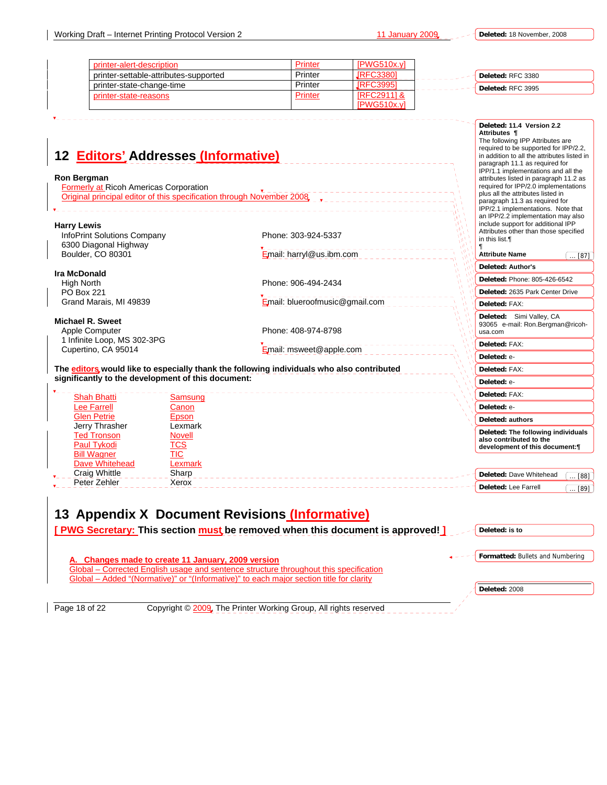**Deleted:** 18 November, 2008

| printer-alert-description             | Printer | IPWG510x.vl           |                   |
|---------------------------------------|---------|-----------------------|-------------------|
| printer-settable-attributes-supported | Printer | IRFC33801             | Deleted: RFC 3380 |
| printer-state-change-time             | Printer | IRFC39951             | Deleted: RFC 3995 |
| printer-state-reasons                 | Printer | <b>IRFC29111&amp;</b> |                   |
|                                       |         | IPWG510x.vl           |                   |

| 12 <b>Editors'</b> Addresses (Informative)<br><b>Ron Bergman</b><br><b>Formerly at Ricoh Americas Corporation</b><br>Original principal editor of this specification through November 2008 |                                                                               | Deleted: 11.4 Version 2.2<br>Attributes ¶<br>The following IPP Attributes are<br>required to be supported for IPP/2.2,<br>in addition to all the attributes listed in<br>paragraph 11.1 as required for<br>IPP/1.1 implementations and all the<br>attributes listed in paragraph 11.2 as<br>required for IPP/2.0 implementations<br>plus all the attributes listed in<br>paragraph 11.3 as required for<br>IPP/2.1 implementations. Note that |
|--------------------------------------------------------------------------------------------------------------------------------------------------------------------------------------------|-------------------------------------------------------------------------------|-----------------------------------------------------------------------------------------------------------------------------------------------------------------------------------------------------------------------------------------------------------------------------------------------------------------------------------------------------------------------------------------------------------------------------------------------|
| <b>Harry Lewis</b><br>InfoPrint Solutions Company<br>6300 Diagonal Highway<br>Boulder, CO 80301                                                                                            | Phone: 303-924-5337<br>Email: harryl@us.ibm.com                               | an IPP/2.2 implementation may also<br>include support for additional IPP<br>Attributes other than those specified<br>in this list.<br><b>Attribute Name</b><br>$[87]$                                                                                                                                                                                                                                                                         |
| <b>Ira McDonald</b><br><b>High North</b><br><b>PO Box 221</b><br>Grand Marais, MI 49839                                                                                                    | Phone: 906-494-2434<br>Email: blueroofmusic@gmail.com                         | <b>Deleted: Author's</b><br>Deleted: Phone: 805-426-6542<br>Deleted: 2635 Park Center Drive<br>Deleted: FAX:                                                                                                                                                                                                                                                                                                                                  |
| Michael R. Sweet<br>Apple Computer<br>1 Infinite Loop, MS 302-3PG                                                                                                                          | Phone: 408-974-8798                                                           | Deleted: Simi Valley, CA<br>93065 e-mail: Ron.Bergman@ricoh-<br>usa.com<br>Deleted: FAX:                                                                                                                                                                                                                                                                                                                                                      |
| Cupertino, CA 95014<br>The editors, would like to especially thank the following individuals who also contributed<br>significantly to the development of this document:                    | Email: msweet@apple.com                                                       | Deleted: e-<br>Deleted: FAX:<br>Deleted: e-                                                                                                                                                                                                                                                                                                                                                                                                   |
| <b>Shah Bhatti</b><br>Samsung<br><b>Lee Farrell</b><br>Canon                                                                                                                               |                                                                               | Deleted: FAX:<br>Deleted: e-                                                                                                                                                                                                                                                                                                                                                                                                                  |
| <b>Glen Petrie</b><br>Epson<br>Jerry Thrasher<br>Lexmark<br><b>Ted Tronson</b><br>Novell<br>TCS<br>Paul Tykodi<br><b>Bill Wagner</b><br>TIC                                                |                                                                               | Deleted: authors<br>Deleted: The following individuals<br>also contributed to the<br>development of this document:¶                                                                                                                                                                                                                                                                                                                           |
| <b>Dave Whitehead</b><br>Lexmark<br><b>Craig Whittle</b><br>Sharp<br>Peter Zehler<br>Xerox                                                                                                 |                                                                               | Deleted: Dave Whitehead<br>[88]<br><b>Deleted: Lee Farrell</b><br>$\overline{89}$                                                                                                                                                                                                                                                                                                                                                             |
| 13 Appendix X Document Revisions (Informative)                                                                                                                                             | [PWG Secretary: This section must be removed when this document is approved!] | Deleted: is to                                                                                                                                                                                                                                                                                                                                                                                                                                |

**A. Changes made to create 11 January, 2009 version** Global – Corrected English usage and sentence structure throughout this specification Global – Added "(Normative)" or "(Informative)" to each major section title for clarity

**Deleted:** 2008

**Formatted:** Bullets and Numbering

Page 18 of 22 Copyright © 2009. The Printer Working Group, All rights reserved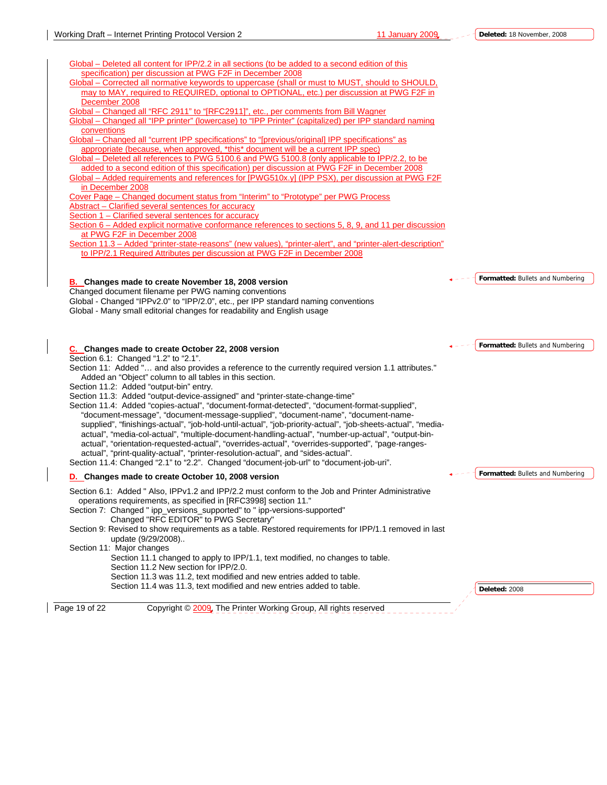| Global – Deleted all content for IPP/2.2 in all sections (to be added to a second edition of this                                                                    |                                  |
|----------------------------------------------------------------------------------------------------------------------------------------------------------------------|----------------------------------|
| specification) per discussion at PWG F2F in December 2008                                                                                                            |                                  |
| Global – Corrected all normative keywords to uppercase (shall or must to MUST, should to SHOULD,                                                                     |                                  |
| may to MAY, required to REQUIRED, optional to OPTIONAL, etc.) per discussion at PWG F2F in                                                                           |                                  |
| December 2008                                                                                                                                                        |                                  |
| Global - Changed all "RFC 2911" to "[RFC2911]", etc., per comments from Bill Wagner                                                                                  |                                  |
| Global - Changed all "IPP printer" (lowercase) to "IPP Printer" (capitalized) per IPP standard naming                                                                |                                  |
| conventions                                                                                                                                                          |                                  |
| Global – Changed all "current IPP specifications" to "[previous/original] IPP specifications" as                                                                     |                                  |
| appropriate (because, when approved, *this* document will be a current IPP spec)                                                                                     |                                  |
| Global – Deleted all references to PWG 5100.6 and PWG 5100.8 (only applicable to IPP/2.2, to be                                                                      |                                  |
| added to a second edition of this specification) per discussion at PWG F2F in December 2008                                                                          |                                  |
| Global - Added requirements and references for [PWG510x.y] (IPP PSX), per discussion at PWG F2F                                                                      |                                  |
| in December 2008                                                                                                                                                     |                                  |
| Cover Page - Changed document status from "Interim" to "Prototype" per PWG Process                                                                                   |                                  |
| Abstract - Clarified several sentences for accuracy                                                                                                                  |                                  |
| Section 1 - Clarified several sentences for accuracy                                                                                                                 |                                  |
| Section 6 – Added explicit normative conformance references to sections 5, 8, 9, and 11 per discussion                                                               |                                  |
| at PWG F2F in December 2008                                                                                                                                          |                                  |
| Section 11.3 - Added "printer-state-reasons" (new values), "printer-alert", and "printer-alert-description"                                                          |                                  |
| to IPP/2.1 Required Attributes per discussion at PWG F2F in December 2008                                                                                            |                                  |
|                                                                                                                                                                      |                                  |
|                                                                                                                                                                      |                                  |
| <b>B.</b> Changes made to create November 18, 2008 version                                                                                                           | Formatted: Bullets and Numbering |
| Changed document filename per PWG naming conventions                                                                                                                 |                                  |
|                                                                                                                                                                      |                                  |
| Global - Changed "IPPv2.0" to "IPP/2.0", etc., per IPP standard naming conventions                                                                                   |                                  |
| Global - Many small editorial changes for readability and English usage                                                                                              |                                  |
| C. Changes made to create October 22, 2008 version                                                                                                                   | Formatted: Bullets and Numbering |
| Section 6.1: Changed "1.2" to "2.1".                                                                                                                                 |                                  |
| Section 11: Added " and also provides a reference to the currently required version 1.1 attributes."                                                                 |                                  |
| Added an "Object" column to all tables in this section.                                                                                                              |                                  |
| Section 11.2: Added "output-bin" entry.                                                                                                                              |                                  |
| Section 11.3: Added "output-device-assigned" and "printer-state-change-time"                                                                                         |                                  |
| Section 11.4: Added "copies-actual", "document-format-detected", "document-format-supplied",                                                                         |                                  |
| "document-message", "document-message-supplied", "document-name", "document-name-                                                                                    |                                  |
| supplied", "finishings-actual", "job-hold-until-actual", "job-priority-actual", "job-sheets-actual", "media-                                                         |                                  |
| actual", "media-col-actual", "multiple-document-handling-actual", "number-up-actual", "output-bin-                                                                   |                                  |
| actual", "orientation-requested-actual", "overrides-actual", "overrides-supported", "page-ranges-                                                                    |                                  |
| actual", "print-quality-actual", "printer-resolution-actual", and "sides-actual".                                                                                    |                                  |
| Section 11.4: Changed "2.1" to "2.2". Changed "document-job-url" to "document-job-uri".                                                                              |                                  |
| D. Changes made to create October 10, 2008 version                                                                                                                   |                                  |
|                                                                                                                                                                      |                                  |
| Section 6.1: Added " Also, IPPv1.2 and IPP/2.2 must conform to the Job and Printer Administrative<br>operations requirements, as specified in [RFC3998] section 11." |                                  |
|                                                                                                                                                                      |                                  |
| Section 7: Changed " ipp_versions_supported" to " ipp-versions-supported"                                                                                            |                                  |
| Changed "RFC EDITOR" to PWG Secretary"                                                                                                                               |                                  |
| Section 9: Revised to show requirements as a table. Restored requirements for IPP/1.1 removed in last                                                                |                                  |
| update (9/29/2008)                                                                                                                                                   |                                  |
| Section 11: Major changes                                                                                                                                            |                                  |
| Section 11.1 changed to apply to IPP/1.1, text modified, no changes to table.                                                                                        |                                  |
| Section 11.2 New section for IPP/2.0.                                                                                                                                | Formatted: Bullets and Numbering |
| Section 11.3 was 11.2, text modified and new entries added to table.<br>Section 11.4 was 11.3, text modified and new entries added to table.                         | Deleted: 2008                    |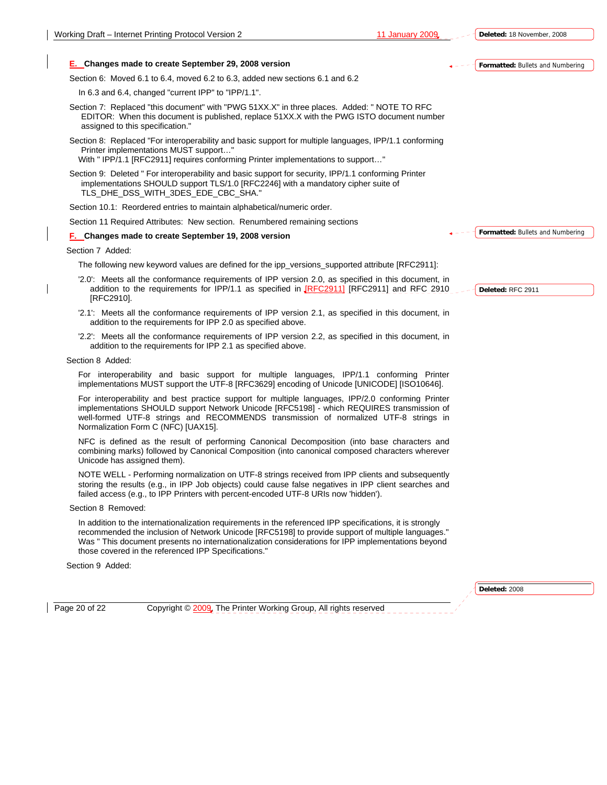**Deleted:** 2008



addition to the requirements for IPP 2.1 as specified above.

Section 8 Added:

For interoperability and basic support for multiple languages, IPP/1.1 conforming Printer implementations MUST support the UTF-8 [RFC3629] encoding of Unicode [UNICODE] [ISO10646].

For interoperability and best practice support for multiple languages, IPP/2.0 conforming Printer implementations SHOULD support Network Unicode [RFC5198] - which REQUIRES transmission of well-formed UTF-8 strings and RECOMMENDS transmission of normalized UTF-8 strings in Normalization Form C (NFC) [UAX15].

NFC is defined as the result of performing Canonical Decomposition (into base characters and combining marks) followed by Canonical Composition (into canonical composed characters wherever Unicode has assigned them).

NOTE WELL - Performing normalization on UTF-8 strings received from IPP clients and subsequently storing the results (e.g., in IPP Job objects) could cause false negatives in IPP client searches and failed access (e.g., to IPP Printers with percent-encoded UTF-8 URIs now 'hidden').

Section 8 Removed:

In addition to the internationalization requirements in the referenced IPP specifications, it is strongly recommended the inclusion of Network Unicode [RFC5198] to provide support of multiple languages." Was " This document presents no internationalization considerations for IPP implementations beyond those covered in the referenced IPP Specifications."

Section 9 Added:

Page 20 of 22 Copyright © 2009, The Printer Working Group, All rights reserved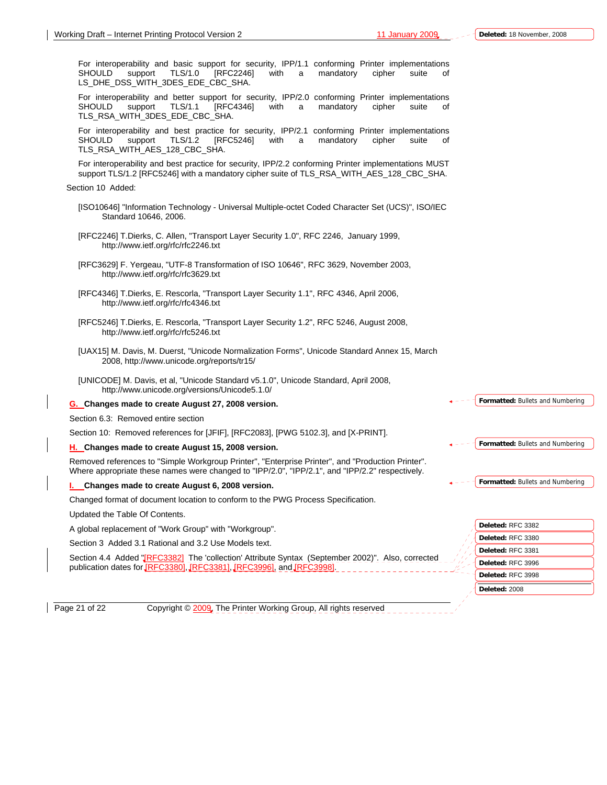For interoperability and basic support for security, IPP/1.1 conforming Printer implementations SHOULD support TLS/1.0 [RFC2246] with a mandatory cipher suite of LS\_DHE\_DSS\_WITH\_3DES\_EDE\_CBC\_SHA.

For interoperability and better support for security, IPP/2.0 conforming Printer implementations SHOULD support TLS/1.1 [RFC4346] with a mandatory cipher suite of TLS\_RSA\_WITH\_3DES\_EDE\_CBC\_SHA.

For interoperability and best practice for security, IPP/2.1 conforming Printer implementations<br>SHOULD support TLS/1.2 [RFC5246] with a mandatory cipher suite of SHOULD support TLS/1.2 [RFC5246] with a mandatory cipher suite of TLS\_RSA\_WITH\_AES\_128\_CBC\_SHA.

For interoperability and best practice for security, IPP/2.2 conforming Printer implementations MUST support TLS/1.2 [RFC5246] with a mandatory cipher suite of TLS\_RSA\_WITH\_AES\_128\_CBC\_SHA.

Section 10 Added:

- [ISO10646] "Information Technology Universal Multiple-octet Coded Character Set (UCS)", ISO/IEC Standard 10646, 2006.
- [RFC2246] T.Dierks, C. Allen, "Transport Layer Security 1.0", RFC 2246, January 1999, http://www.ietf.org/rfc/rfc2246.txt
- [RFC3629] F. Yergeau, "UTF-8 Transformation of ISO 10646", RFC 3629, November 2003, http://www.ietf.org/rfc/rfc3629.txt
- [RFC4346] T.Dierks, E. Rescorla, "Transport Layer Security 1.1", RFC 4346, April 2006, http://www.ietf.org/rfc/rfc4346.txt
- [RFC5246] T.Dierks, E. Rescorla, "Transport Layer Security 1.2", RFC 5246, August 2008, http://www.ietf.org/rfc/rfc5246.txt
- [UAX15] M. Davis, M. Duerst, "Unicode Normalization Forms", Unicode Standard Annex 15, March 2008, http://www.unicode.org/reports/tr15/
- [UNICODE] M. Davis, et al, "Unicode Standard v5.1.0", Unicode Standard, April 2008, http://www.unicode.org/versions/Unicode5.1.0/

#### **G. Changes made to create August 27, 2008 version.**

Section 6.3: Removed entire section

Section 10: Removed references for [JFIF], [RFC2083], [PWG 5102.3], and [X-PRINT].

#### **H. Changes made to create August 15, 2008 version.**

Removed references to "Simple Workgroup Printer", "Enterprise Printer", and "Production Printer". Where appropriate these names were changed to "IPP/2.0", "IPP/2.1", and "IPP/2.2" respectively.

**I. Changes made to create August 6, 2008 version.** 

Changed format of document location to conform to the PWG Process Specification.

Updated the Table Of Contents.

A global replacement of "Work Group" with "Workgroup".

Section 3 Added 3.1 Rational and 3.2 Use Models text.

Section 4.4 Added "[RFC3382] The 'collection' Attribute Syntax (September 2002)". Also, corrected publication dates for [RFC3380], [RFC3381], [RFC3996], and [RF

Page 21 of 22 Copyright © 2009, The Printer Working Group, All rights reserved

**Formatted:** Bullets and Numbering

**Formatted:** Bullets and Numbering

**Formatted:** Bullets and Numbering

**Deleted:** 2008

**Deleted:** RFC 3382 **Deleted:** RFC 3380 **Deleted:** RFC 3381 **Deleted:** RFC 3996 **Deleted:** RFC 3998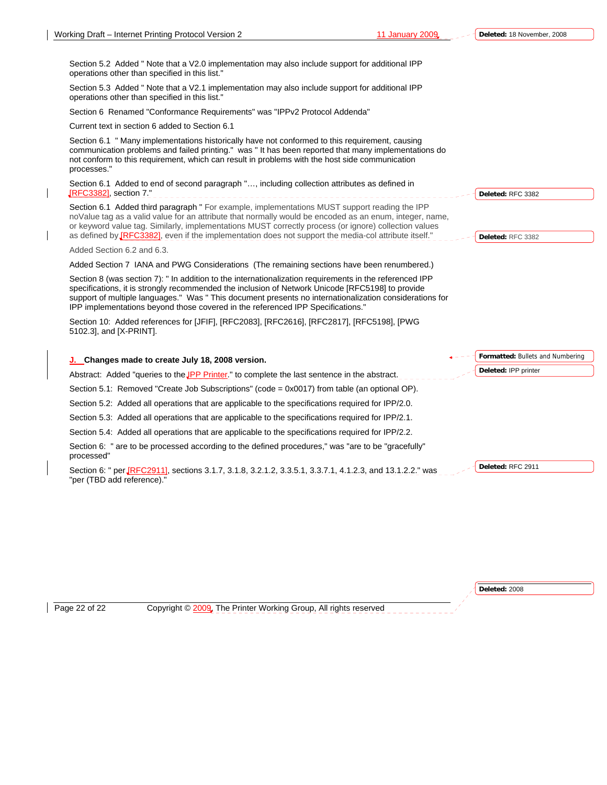Section 5.2 Added " Note that a V2.0 implementation may also include support for additional IPP operations other than specified in this list."

Section 5.3 Added " Note that a V2.1 implementation may also include support for additional IPP operations other than specified in this list."

Section 6 Renamed "Conformance Requirements" was "IPPv2 Protocol Addenda"

Current text in section 6 added to Section 6.1

Section 6.1 " Many implementations historically have not conformed to this requirement, causing communication problems and failed printing." was " It has been reported that many implementations do not conform to this requirement, which can result in problems with the host side communication processes."

Section 6.1 Added to end of second paragraph "…, including collection attributes as defined in [RFC3382], section 7." \_\_\_\_\_\_\_\_\_\_\_\_\_\_\_\_\_\_\_\_\_\_

Section 6.1 Added third paragraph " For example, implementations MUST support reading the IPP noValue tag as a valid value for an attribute that normally would be encoded as an enum, integer, name, or keyword value tag. Similarly, implementations MUST correctly process (or ignore) collection values as defined by **[RFC3382]**, even if the implementation does not support the media-col attribute itself."

Added Section 6.2 and 6.3.

Added Section 7 IANA and PWG Considerations (The remaining sections have been renumbered.)

Section 8 (was section 7): " In addition to the internationalization requirements in the referenced IPP specifications, it is strongly recommended the inclusion of Network Unicode [RFC5198] to provide support of multiple languages." Was " This document presents no internationalization considerations for IPP implementations beyond those covered in the referenced IPP Specifications."

Section 10: Added references for [JFIF], [RFC2083], [RFC2616], [RFC2817], [RFC5198], [PWG 5102.3], and [X-PRINT].

**J. Changes made to create July 18, 2008 version.**  Abstract: Added "queries to the **IPP Printer.**" to complete the last sentence in the abstract. Section 5.1: Removed "Create Job Subscriptions" (code = 0x0017) from table (an optional OP). Section 5.2: Added all operations that are applicable to the specifications required for IPP/2.0. Section 5.3: Added all operations that are applicable to the specifications required for IPP/2.1. Section 5.4: Added all operations that are applicable to the specifications required for IPP/2.2. Section 6: " are to be processed according to the defined procedures," was "are to be "gracefully" processed" Section 6: " per *[RFC2911]*, sections 3.1.7, 3.1.8, 3.2.1.2, 3.3.5.1, 3.3.7.1, 4.1.2.3, and 13.1.2.2." was "per (TBD add reference). **Formatted:** Bullets and Numbering **Deleted:** IPP printer **Deleted:** RFC 2911

Page 22 of 22 Copyright © 2009, The Printer Working Group, All rights reserved

**Deleted:** RFC 3382

**Deleted:** RFC 3382

**Deleted:** 2008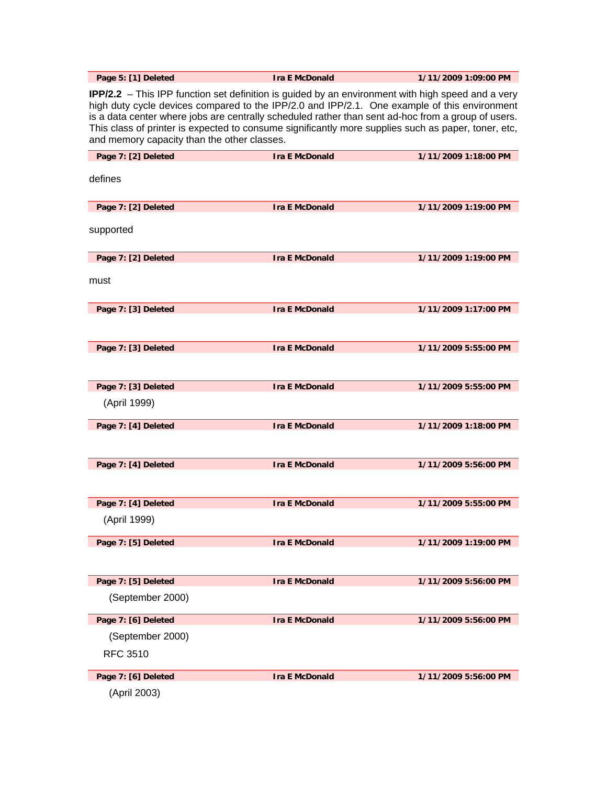**Page 5: [1] Deleted Ira E McDonald 1/11/2009 1:09:00 PM** 

**IPP/2.2** – This IPP function set definition is guided by an environment with high speed and a very high duty cycle devices compared to the IPP/2.0 and IPP/2.1. One example of this environment is a data center where jobs are centrally scheduled rather than sent ad-hoc from a group of users. This class of printer is expected to consume significantly more supplies such as paper, toner, etc, and memory capacity than the other classes.

| Page 7: [2] Deleted | <b>Ira E McDonald</b> | 1/11/2009 1:18:00 PM |
|---------------------|-----------------------|----------------------|
| defines             |                       |                      |
|                     |                       |                      |
|                     |                       |                      |
| Page 7: [2] Deleted | <b>Ira E McDonald</b> | 1/11/2009 1:19:00 PM |
| supported           |                       |                      |
|                     |                       |                      |
| Page 7: [2] Deleted | <b>Ira E McDonald</b> | 1/11/2009 1:19:00 PM |
|                     |                       |                      |
| must                |                       |                      |
|                     |                       |                      |
| Page 7: [3] Deleted | <b>Ira E McDonald</b> | 1/11/2009 1:17:00 PM |
|                     |                       |                      |
|                     |                       |                      |
| Page 7: [3] Deleted | <b>Ira E McDonald</b> | 1/11/2009 5:55:00 PM |
|                     |                       |                      |
| Page 7: [3] Deleted | <b>Ira E McDonald</b> | 1/11/2009 5:55:00 PM |
|                     |                       |                      |
| (April 1999)        |                       |                      |
| Page 7: [4] Deleted | <b>Ira E McDonald</b> | 1/11/2009 1:18:00 PM |
|                     |                       |                      |
|                     |                       |                      |
| Page 7: [4] Deleted | <b>Ira E McDonald</b> | 1/11/2009 5:56:00 PM |
|                     |                       |                      |
|                     |                       |                      |
| Page 7: [4] Deleted | <b>Ira E McDonald</b> | 1/11/2009 5:55:00 PM |
| (April 1999)        |                       |                      |
| Page 7: [5] Deleted | <b>Ira E McDonald</b> | 1/11/2009 1:19:00 PM |
|                     |                       |                      |
|                     |                       |                      |
| Page 7: [5] Deleted | <b>Ira E McDonald</b> | 1/11/2009 5:56:00 PM |
| (September 2000)    |                       |                      |
|                     |                       |                      |
| Page 7: [6] Deleted | <b>Ira E McDonald</b> | 1/11/2009 5:56:00 PM |
| (September 2000)    |                       |                      |
| <b>RFC 3510</b>     |                       |                      |
|                     |                       |                      |
| Page 7: [6] Deleted | <b>Ira E McDonald</b> | 1/11/2009 5:56:00 PM |
| (April 2003)        |                       |                      |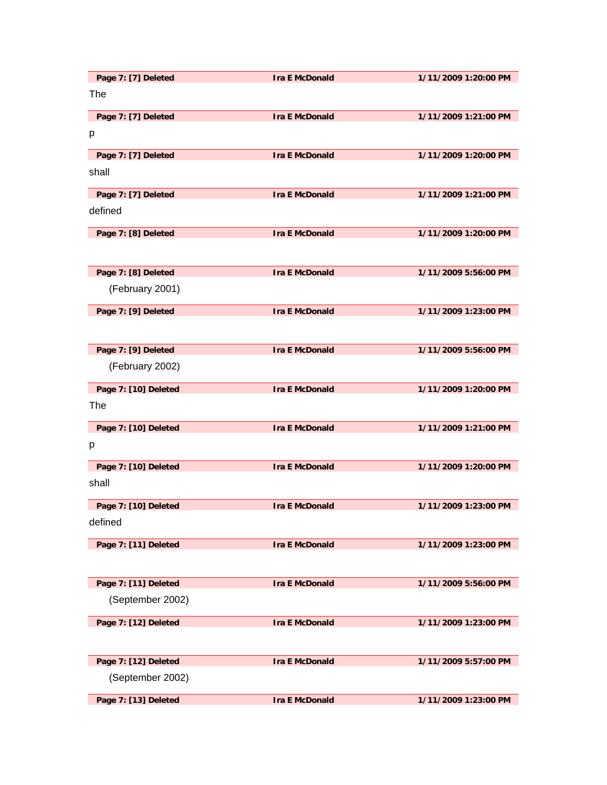| Page 7: [7] Deleted  | <b>Ira E McDonald</b> | 1/11/2009 1:20:00 PM |
|----------------------|-----------------------|----------------------|
| The                  |                       |                      |
| Page 7: [7] Deleted  | <b>Ira E McDonald</b> | 1/11/2009 1:21:00 PM |
| p                    |                       |                      |
| Page 7: [7] Deleted  | <b>Ira E McDonald</b> | 1/11/2009 1:20:00 PM |
| shall                |                       |                      |
| Page 7: [7] Deleted  | <b>Ira E McDonald</b> | 1/11/2009 1:21:00 PM |
| defined              |                       |                      |
| Page 7: [8] Deleted  | <b>Ira E McDonald</b> | 1/11/2009 1:20:00 PM |
|                      |                       |                      |
| Page 7: [8] Deleted  | <b>Ira E McDonald</b> | 1/11/2009 5:56:00 PM |
| (February 2001)      |                       |                      |
| Page 7: [9] Deleted  | <b>Ira E McDonald</b> | 1/11/2009 1:23:00 PM |
|                      |                       |                      |
| Page 7: [9] Deleted  | <b>Ira E McDonald</b> | 1/11/2009 5:56:00 PM |
| (February 2002)      |                       |                      |
| Page 7: [10] Deleted | <b>Ira E McDonald</b> | 1/11/2009 1:20:00 PM |
| The                  |                       |                      |
| Page 7: [10] Deleted | <b>Ira E McDonald</b> | 1/11/2009 1:21:00 PM |
| p                    |                       |                      |
| Page 7: [10] Deleted | <b>Ira E McDonald</b> | 1/11/2009 1:20:00 PM |
| shall                |                       |                      |
| Page 7: [10] Deleted | <b>Ira E McDonald</b> | 1/11/2009 1:23:00 PM |
| defined              |                       |                      |
| Page 7: [11] Deleted | <b>Ira E McDonald</b> | 1/11/2009 1:23:00 PM |
|                      |                       |                      |
| Page 7: [11] Deleted | <b>Ira E McDonald</b> | 1/11/2009 5:56:00 PM |
| (September 2002)     |                       |                      |
| Page 7: [12] Deleted | <b>Ira E McDonald</b> | 1/11/2009 1:23:00 PM |
|                      |                       |                      |
| Page 7: [12] Deleted | <b>Ira E McDonald</b> | 1/11/2009 5:57:00 PM |
| (September 2002)     |                       |                      |
| Page 7: [13] Deleted | <b>Ira E McDonald</b> | 1/11/2009 1:23:00 PM |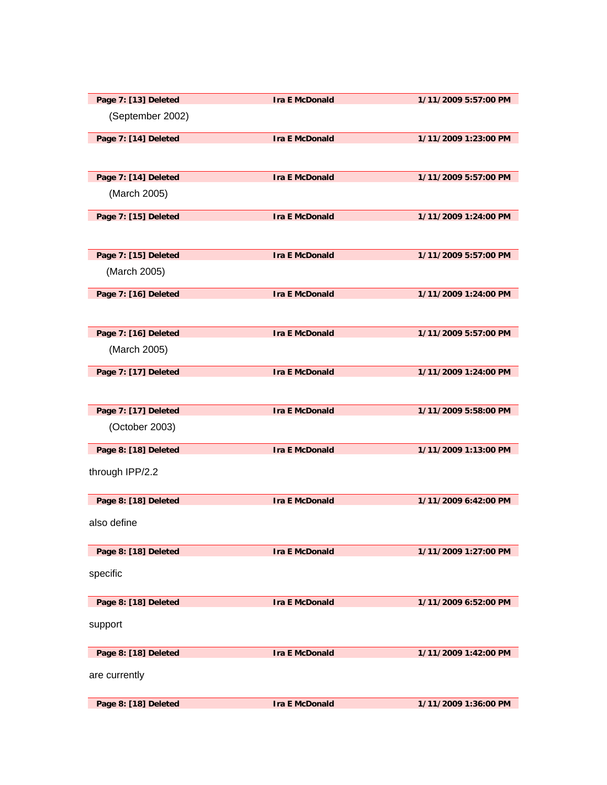| Page 7: [13] Deleted | <b>Ira E McDonald</b> | 1/11/2009 5:57:00 PM |
|----------------------|-----------------------|----------------------|
| (September 2002)     |                       |                      |
| Page 7: [14] Deleted | <b>Ira E McDonald</b> | 1/11/2009 1:23:00 PM |
|                      |                       |                      |
| Page 7: [14] Deleted | <b>Ira E McDonald</b> | 1/11/2009 5:57:00 PM |
| (March 2005)         |                       |                      |
| Page 7: [15] Deleted | <b>Ira E McDonald</b> | 1/11/2009 1:24:00 PM |
|                      |                       |                      |
| Page 7: [15] Deleted | <b>Ira E McDonald</b> | 1/11/2009 5:57:00 PM |
| (March 2005)         |                       |                      |
| Page 7: [16] Deleted | <b>Ira E McDonald</b> | 1/11/2009 1:24:00 PM |
|                      |                       |                      |
| Page 7: [16] Deleted | <b>Ira E McDonald</b> | 1/11/2009 5:57:00 PM |
| (March 2005)         |                       |                      |
| Page 7: [17] Deleted | <b>Ira E McDonald</b> | 1/11/2009 1:24:00 PM |
|                      |                       |                      |
| Page 7: [17] Deleted | <b>Ira E McDonald</b> | 1/11/2009 5:58:00 PM |
| (October 2003)       |                       |                      |
| Page 8: [18] Deleted | <b>Ira E McDonald</b> | 1/11/2009 1:13:00 PM |
| through IPP/2.2      |                       |                      |
| Page 8: [18] Deleted | <b>Ira E McDonald</b> | 1/11/2009 6:42:00 PM |
| also define          |                       |                      |
| Page 8: [18] Deleted | <b>Ira E McDonald</b> | 1/11/2009 1:27:00 PM |
| specific             |                       |                      |
| Page 8: [18] Deleted | <b>Ira E McDonald</b> | 1/11/2009 6:52:00 PM |
| support              |                       |                      |
| Page 8: [18] Deleted | <b>Ira E McDonald</b> | 1/11/2009 1:42:00 PM |
| are currently        |                       |                      |
| Page 8: [18] Deleted | <b>Ira E McDonald</b> | 1/11/2009 1:36:00 PM |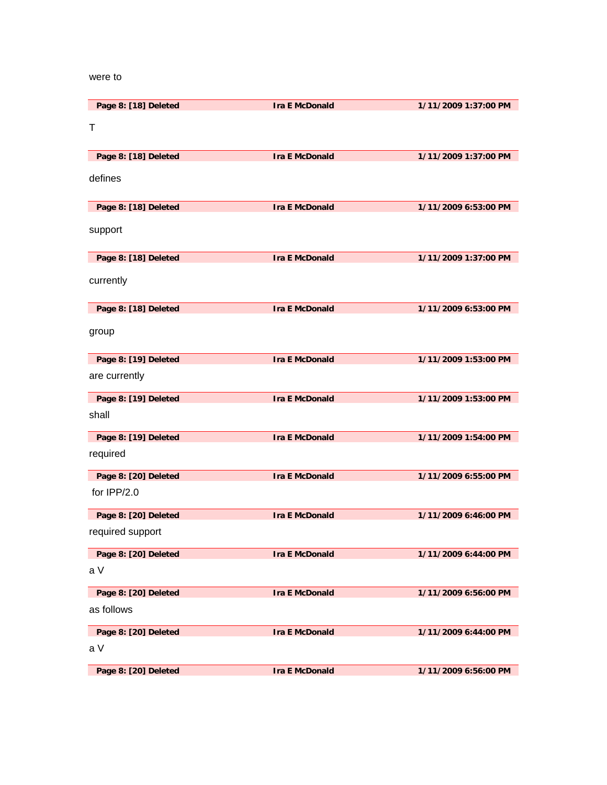### were to

| Page 8: [18] Deleted | <b>Ira E McDonald</b> | 1/11/2009 1:37:00 PM |
|----------------------|-----------------------|----------------------|
| $\top$               |                       |                      |
|                      |                       |                      |
| Page 8: [18] Deleted | <b>Ira E McDonald</b> | 1/11/2009 1:37:00 PM |
| defines              |                       |                      |
|                      |                       |                      |
| Page 8: [18] Deleted | <b>Ira E McDonald</b> | 1/11/2009 6:53:00 PM |
| support              |                       |                      |
|                      |                       |                      |
| Page 8: [18] Deleted | <b>Ira E McDonald</b> | 1/11/2009 1:37:00 PM |
| currently            |                       |                      |
|                      |                       |                      |
| Page 8: [18] Deleted | <b>Ira E McDonald</b> | 1/11/2009 6:53:00 PM |
| group                |                       |                      |
|                      |                       |                      |
| Page 8: [19] Deleted | <b>Ira E McDonald</b> | 1/11/2009 1:53:00 PM |
| are currently        |                       |                      |
| Page 8: [19] Deleted | <b>Ira E McDonald</b> | 1/11/2009 1:53:00 PM |
| shall                |                       |                      |
| Page 8: [19] Deleted | <b>Ira E McDonald</b> | 1/11/2009 1:54:00 PM |
| required             |                       |                      |
| Page 8: [20] Deleted | <b>Ira E McDonald</b> | 1/11/2009 6:55:00 PM |
| for IPP/2.0          |                       |                      |
|                      |                       |                      |
| Page 8: [20] Deleted | <b>Ira E McDonald</b> | 1/11/2009 6:46:00 PM |
| required support     |                       |                      |
| Page 8: [20] Deleted | <b>Ira E McDonald</b> | 1/11/2009 6:44:00 PM |
| a V                  |                       |                      |
| Page 8: [20] Deleted | <b>Ira E McDonald</b> | 1/11/2009 6:56:00 PM |
| as follows           |                       |                      |
| Page 8: [20] Deleted | <b>Ira E McDonald</b> |                      |
| a V                  |                       | 1/11/2009 6:44:00 PM |
|                      |                       |                      |
| Page 8: [20] Deleted | <b>Ira E McDonald</b> | 1/11/2009 6:56:00 PM |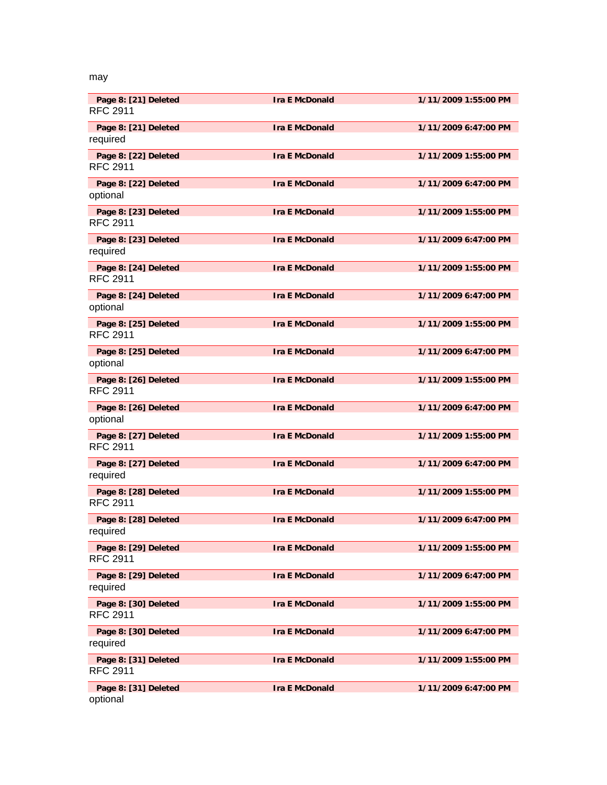### may

| Page 8: [21] Deleted<br><b>RFC 2911</b> | <b>Ira E McDonald</b> | 1/11/2009 1:55:00 PM |
|-----------------------------------------|-----------------------|----------------------|
| Page 8: [21] Deleted<br>required        | <b>Ira E McDonald</b> | 1/11/2009 6:47:00 PM |
| Page 8: [22] Deleted<br><b>RFC 2911</b> | <b>Ira E McDonald</b> | 1/11/2009 1:55:00 PM |
| Page 8: [22] Deleted<br>optional        | <b>Ira E McDonald</b> | 1/11/2009 6:47:00 PM |
| Page 8: [23] Deleted<br><b>RFC 2911</b> | <b>Ira E McDonald</b> | 1/11/2009 1:55:00 PM |
| Page 8: [23] Deleted<br>required        | <b>Ira E McDonald</b> | 1/11/2009 6:47:00 PM |
| Page 8: [24] Deleted<br><b>RFC 2911</b> | <b>Ira E McDonald</b> | 1/11/2009 1:55:00 PM |
| Page 8: [24] Deleted<br>optional        | <b>Ira E McDonald</b> | 1/11/2009 6:47:00 PM |
| Page 8: [25] Deleted<br><b>RFC 2911</b> | <b>Ira E McDonald</b> | 1/11/2009 1:55:00 PM |
| Page 8: [25] Deleted<br>optional        | <b>Ira E McDonald</b> | 1/11/2009 6:47:00 PM |
| Page 8: [26] Deleted<br><b>RFC 2911</b> | <b>Ira E McDonald</b> | 1/11/2009 1:55:00 PM |
| Page 8: [26] Deleted<br>optional        | <b>Ira E McDonald</b> | 1/11/2009 6:47:00 PM |
| Page 8: [27] Deleted<br><b>RFC 2911</b> | <b>Ira E McDonald</b> | 1/11/2009 1:55:00 PM |
| Page 8: [27] Deleted<br>required        | <b>Ira E McDonald</b> | 1/11/2009 6:47:00 PM |
| Page 8: [28] Deleted<br><b>RFC 2911</b> | <b>Ira E McDonald</b> | 1/11/2009 1:55:00 PM |
| Page 8: [28] Deleted<br>required        | <b>Ira E McDonald</b> | 1/11/2009 6:47:00 PM |
| Page 8: [29] Deleted<br><b>RFC 2911</b> | <b>Ira E McDonald</b> | 1/11/2009 1:55:00 PM |
| Page 8: [29] Deleted<br>required        | <b>Ira E McDonald</b> | 1/11/2009 6:47:00 PM |
| Page 8: [30] Deleted<br><b>RFC 2911</b> | <b>Ira E McDonald</b> | 1/11/2009 1:55:00 PM |
| Page 8: [30] Deleted<br>required        | <b>Ira E McDonald</b> | 1/11/2009 6:47:00 PM |
| Page 8: [31] Deleted<br><b>RFC 2911</b> | <b>Ira E McDonald</b> | 1/11/2009 1:55:00 PM |
| Page 8: [31] Deleted<br>optional        | <b>Ira E McDonald</b> | 1/11/2009 6:47:00 PM |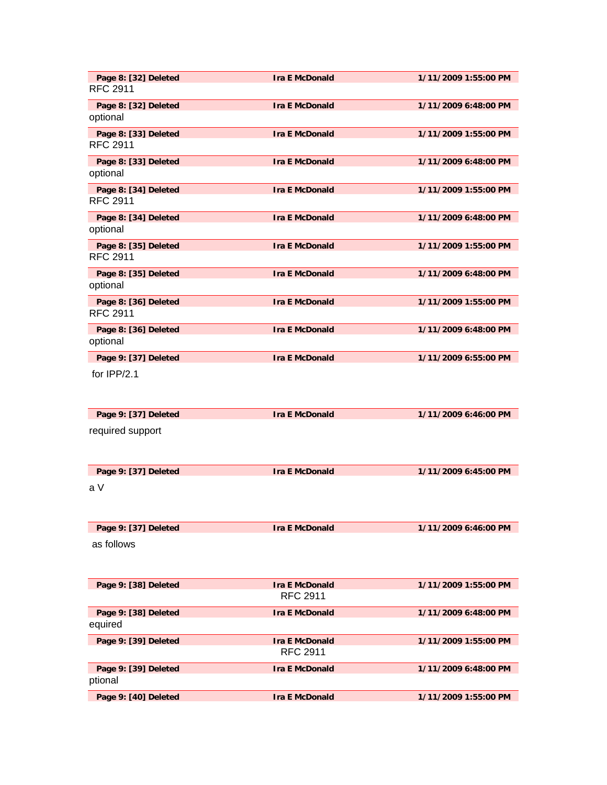| Page 8: [32] Deleted<br><b>RFC 2911</b> | <b>Ira E McDonald</b>                    | 1/11/2009 1:55:00 PM |
|-----------------------------------------|------------------------------------------|----------------------|
| Page 8: [32] Deleted<br>optional        | <b>Ira E McDonald</b>                    | 1/11/2009 6:48:00 PM |
| Page 8: [33] Deleted<br><b>RFC 2911</b> | <b>Ira E McDonald</b>                    | 1/11/2009 1:55:00 PM |
| Page 8: [33] Deleted<br>optional        | <b>Ira E McDonald</b>                    | 1/11/2009 6:48:00 PM |
| Page 8: [34] Deleted<br><b>RFC 2911</b> | <b>Ira E McDonald</b>                    | 1/11/2009 1:55:00 PM |
| Page 8: [34] Deleted<br>optional        | <b>Ira E McDonald</b>                    | 1/11/2009 6:48:00 PM |
| Page 8: [35] Deleted<br><b>RFC 2911</b> | <b>Ira E McDonald</b>                    | 1/11/2009 1:55:00 PM |
| Page 8: [35] Deleted<br>optional        | <b>Ira E McDonald</b>                    | 1/11/2009 6:48:00 PM |
| Page 8: [36] Deleted<br><b>RFC 2911</b> | <b>Ira E McDonald</b>                    | 1/11/2009 1:55:00 PM |
| Page 8: [36] Deleted<br>optional        | <b>Ira E McDonald</b>                    | 1/11/2009 6:48:00 PM |
| Page 9: [37] Deleted                    | <b>Ira E McDonald</b>                    | 1/11/2009 6:55:00 PM |
| for $IPP/2.1$                           |                                          |                      |
| Page 9: [37] Deleted                    | <b>Ira E McDonald</b>                    | 1/11/2009 6:46:00 PM |
| required support                        |                                          |                      |
| Page 9: [37] Deleted                    | <b>Ira E McDonald</b>                    | 1/11/2009 6:45:00 PM |
| a V                                     |                                          |                      |
| Page 9: [37] Deleted                    | <b>Ira E McDonald</b>                    | 1/11/2009 6:46:00 PM |
| as follows                              |                                          |                      |
| Page 9: [38] Deleted                    | <b>Ira E McDonald</b><br><b>RFC 2911</b> | 1/11/2009 1:55:00 PM |
| Page 9: [38] Deleted<br>equired         | <b>Ira E McDonald</b>                    | 1/11/2009 6:48:00 PM |
| Page 9: [39] Deleted                    | <b>Ira E McDonald</b><br><b>RFC 2911</b> | 1/11/2009 1:55:00 PM |
| Page 9: [39] Deleted                    | <b>Ira E McDonald</b>                    | 1/11/2009 6:48:00 PM |
| ptional                                 |                                          |                      |
| Page 9: [40] Deleted                    | <b>Ira E McDonald</b>                    | 1/11/2009 1:55:00 PM |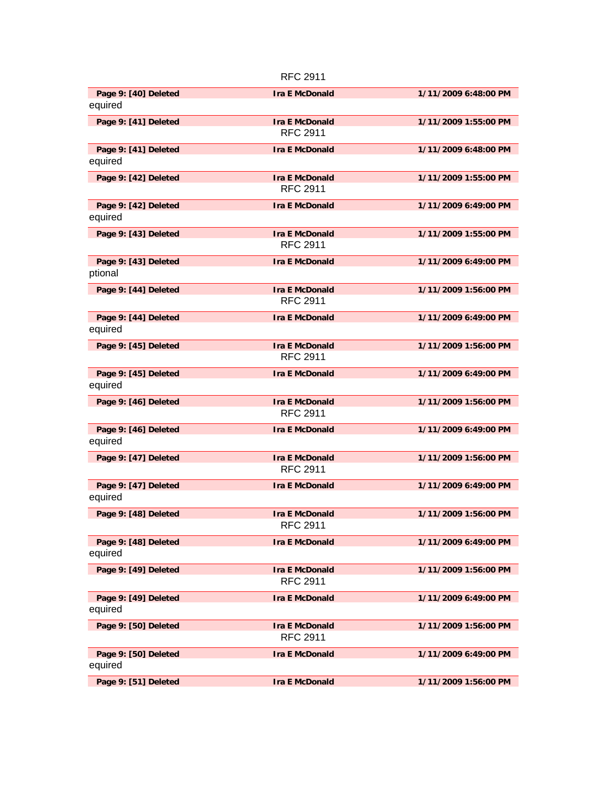|                                 | <b>RFC 2911</b>       |                      |
|---------------------------------|-----------------------|----------------------|
| Page 9: [40] Deleted            | <b>Ira E McDonald</b> | 1/11/2009 6:48:00 PM |
| equired                         |                       |                      |
| Page 9: [41] Deleted            | <b>Ira E McDonald</b> | 1/11/2009 1:55:00 PM |
|                                 | <b>RFC 2911</b>       |                      |
| Page 9: [41] Deleted<br>equired | <b>Ira E McDonald</b> | 1/11/2009 6:48:00 PM |
| Page 9: [42] Deleted            | <b>Ira E McDonald</b> | 1/11/2009 1:55:00 PM |
|                                 | <b>RFC 2911</b>       |                      |
| Page 9: [42] Deleted<br>equired | <b>Ira E McDonald</b> | 1/11/2009 6:49:00 PM |
| Page 9: [43] Deleted            | <b>Ira E McDonald</b> | 1/11/2009 1:55:00 PM |
|                                 | <b>RFC 2911</b>       |                      |
| Page 9: [43] Deleted            | <b>Ira E McDonald</b> | 1/11/2009 6:49:00 PM |
| ptional                         |                       |                      |
| Page 9: [44] Deleted            | <b>Ira E McDonald</b> | 1/11/2009 1:56:00 PM |
|                                 | <b>RFC 2911</b>       |                      |
| Page 9: [44] Deleted            | <b>Ira E McDonald</b> | 1/11/2009 6:49:00 PM |
| equired                         |                       |                      |
| Page 9: [45] Deleted            | <b>Ira E McDonald</b> | 1/11/2009 1:56:00 PM |
|                                 | <b>RFC 2911</b>       |                      |
| Page 9: [45] Deleted<br>equired | <b>Ira E McDonald</b> | 1/11/2009 6:49:00 PM |
| Page 9: [46] Deleted            | <b>Ira E McDonald</b> | 1/11/2009 1:56:00 PM |
|                                 | <b>RFC 2911</b>       |                      |
| Page 9: [46] Deleted            | <b>Ira E McDonald</b> | 1/11/2009 6:49:00 PM |
| equired                         |                       |                      |
| Page 9: [47] Deleted            | <b>Ira E McDonald</b> | 1/11/2009 1:56:00 PM |
|                                 | <b>RFC 2911</b>       |                      |
| Page 9: [47] Deleted            | <b>Ira E McDonald</b> | 1/11/2009 6:49:00 PM |
| equired                         |                       |                      |
| Page 9: [48] Deleted            | <b>Ira E McDonald</b> | 1/11/2009 1:56:00 PM |
|                                 | <b>RFC 2911</b>       |                      |
| Page 9: [48] Deleted<br>equired | <b>Ira E McDonald</b> | 1/11/2009 6:49:00 PM |
| Page 9: [49] Deleted            | <b>Ira E McDonald</b> | 1/11/2009 1:56:00 PM |
|                                 | <b>RFC 2911</b>       |                      |
| Page 9: [49] Deleted            | <b>Ira E McDonald</b> | 1/11/2009 6:49:00 PM |
| equired                         |                       |                      |
| Page 9: [50] Deleted            | <b>Ira E McDonald</b> | 1/11/2009 1:56:00 PM |
|                                 | <b>RFC 2911</b>       |                      |
| Page 9: [50] Deleted            | <b>Ira E McDonald</b> | 1/11/2009 6:49:00 PM |
| equired                         |                       |                      |
| Page 9: [51] Deleted            | <b>Ira E McDonald</b> | 1/11/2009 1:56:00 PM |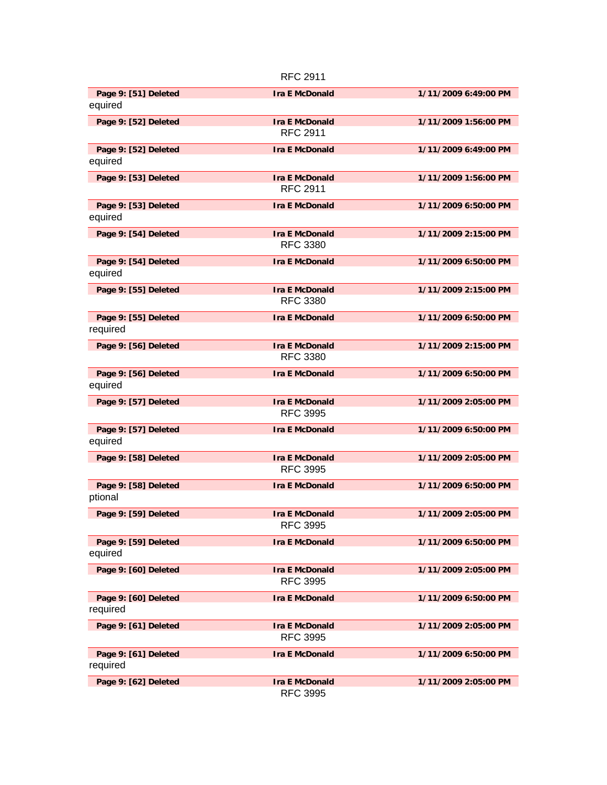|                      | <b>RFC 2911</b>       |                      |
|----------------------|-----------------------|----------------------|
| Page 9: [51] Deleted | <b>Ira E McDonald</b> | 1/11/2009 6:49:00 PM |
| equired              |                       |                      |
| Page 9: [52] Deleted | <b>Ira E McDonald</b> | 1/11/2009 1:56:00 PM |
|                      | <b>RFC 2911</b>       |                      |
| Page 9: [52] Deleted | <b>Ira E McDonald</b> | 1/11/2009 6:49:00 PM |
| equired              |                       |                      |
| Page 9: [53] Deleted | <b>Ira E McDonald</b> | 1/11/2009 1:56:00 PM |
|                      | <b>RFC 2911</b>       |                      |
| Page 9: [53] Deleted | <b>Ira E McDonald</b> | 1/11/2009 6:50:00 PM |
| equired              |                       |                      |
| Page 9: [54] Deleted | <b>Ira E McDonald</b> | 1/11/2009 2:15:00 PM |
|                      | <b>RFC 3380</b>       |                      |
| Page 9: [54] Deleted | <b>Ira E McDonald</b> | 1/11/2009 6:50:00 PM |
| equired              |                       |                      |
| Page 9: [55] Deleted | <b>Ira E McDonald</b> | 1/11/2009 2:15:00 PM |
|                      | <b>RFC 3380</b>       |                      |
| Page 9: [55] Deleted | <b>Ira E McDonald</b> | 1/11/2009 6:50:00 PM |
| required             |                       |                      |
| Page 9: [56] Deleted | <b>Ira E McDonald</b> | 1/11/2009 2:15:00 PM |
|                      | <b>RFC 3380</b>       |                      |
| Page 9: [56] Deleted | <b>Ira E McDonald</b> | 1/11/2009 6:50:00 PM |
| equired              |                       |                      |
| Page 9: [57] Deleted | <b>Ira E McDonald</b> | 1/11/2009 2:05:00 PM |
|                      | <b>RFC 3995</b>       |                      |
| Page 9: [57] Deleted | <b>Ira E McDonald</b> | 1/11/2009 6:50:00 PM |
| equired              |                       |                      |
| Page 9: [58] Deleted | <b>Ira E McDonald</b> | 1/11/2009 2:05:00 PM |
|                      | <b>RFC 3995</b>       |                      |
| Page 9: [58] Deleted | <b>Ira E McDonald</b> | 1/11/2009 6:50:00 PM |
| ptional              |                       |                      |
| Page 9: [59] Deleted | <b>Ira E McDonald</b> | 1/11/2009 2:05:00 PM |
|                      | <b>RFC 3995</b>       |                      |
| Page 9: [59] Deleted | <b>Ira E McDonald</b> | 1/11/2009 6:50:00 PM |
| equired              |                       |                      |
| Page 9: [60] Deleted | <b>Ira E McDonald</b> | 1/11/2009 2:05:00 PM |
|                      | <b>RFC 3995</b>       |                      |
| Page 9: [60] Deleted | <b>Ira E McDonald</b> | 1/11/2009 6:50:00 PM |
| required             |                       |                      |
| Page 9: [61] Deleted | <b>Ira E McDonald</b> | 1/11/2009 2:05:00 PM |
|                      | <b>RFC 3995</b>       |                      |
| Page 9: [61] Deleted | <b>Ira E McDonald</b> | 1/11/2009 6:50:00 PM |
| required             |                       |                      |
| Page 9: [62] Deleted | <b>Ira E McDonald</b> | 1/11/2009 2:05:00 PM |
|                      | <b>RFC 3995</b>       |                      |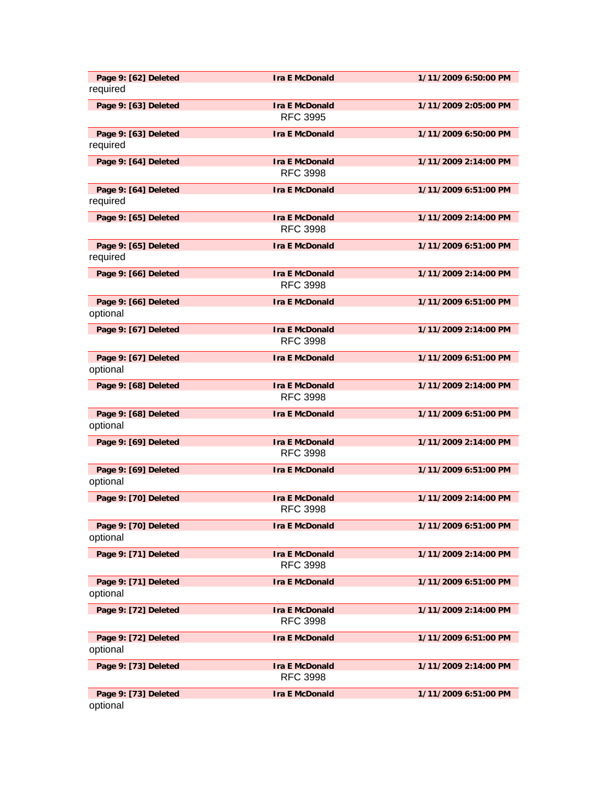| Page 9: [62] Deleted<br>required | <b>Ira E McDonald</b>                    | 1/11/2009 6:50:00 PM |
|----------------------------------|------------------------------------------|----------------------|
| Page 9: [63] Deleted             | <b>Ira E McDonald</b><br><b>RFC 3995</b> | 1/11/2009 2:05:00 PM |
| Page 9: [63] Deleted<br>required | <b>Ira E McDonald</b>                    | 1/11/2009 6:50:00 PM |
| Page 9: [64] Deleted             | <b>Ira E McDonald</b><br><b>RFC 3998</b> | 1/11/2009 2:14:00 PM |
| Page 9: [64] Deleted<br>required | <b>Ira E McDonald</b>                    | 1/11/2009 6:51:00 PM |
| Page 9: [65] Deleted             | <b>Ira E McDonald</b><br><b>RFC 3998</b> | 1/11/2009 2:14:00 PM |
| Page 9: [65] Deleted<br>required | <b>Ira E McDonald</b>                    | 1/11/2009 6:51:00 PM |
| Page 9: [66] Deleted             | <b>Ira E McDonald</b><br><b>RFC 3998</b> | 1/11/2009 2:14:00 PM |
| Page 9: [66] Deleted<br>optional | <b>Ira E McDonald</b>                    | 1/11/2009 6:51:00 PM |
| Page 9: [67] Deleted             | <b>Ira E McDonald</b><br><b>RFC 3998</b> | 1/11/2009 2:14:00 PM |
| Page 9: [67] Deleted<br>optional | <b>Ira E McDonald</b>                    | 1/11/2009 6:51:00 PM |
| Page 9: [68] Deleted             | <b>Ira E McDonald</b><br><b>RFC 3998</b> | 1/11/2009 2:14:00 PM |
| Page 9: [68] Deleted<br>optional | <b>Ira E McDonald</b>                    | 1/11/2009 6:51:00 PM |
| Page 9: [69] Deleted             | <b>Ira E McDonald</b><br><b>RFC 3998</b> | 1/11/2009 2:14:00 PM |
| Page 9: [69] Deleted<br>optional | <b>Ira E McDonald</b>                    | 1/11/2009 6:51:00 PM |
| Page 9: [70] Deleted             | <b>Ira E McDonald</b><br><b>RFC 3998</b> | 1/11/2009 2:14:00 PM |
| Page 9: [70] Deleted<br>optional | <b>Ira E McDonald</b>                    | 1/11/2009 6:51:00 PM |
| Page 9: [71] Deleted             | <b>Ira E McDonald</b><br><b>RFC 3998</b> | 1/11/2009 2:14:00 PM |
| Page 9: [71] Deleted<br>optional | <b>Ira E McDonald</b>                    | 1/11/2009 6:51:00 PM |
| Page 9: [72] Deleted             | <b>Ira E McDonald</b><br><b>RFC 3998</b> | 1/11/2009 2:14:00 PM |
| Page 9: [72] Deleted<br>optional | <b>Ira E McDonald</b>                    | 1/11/2009 6:51:00 PM |
| Page 9: [73] Deleted             | <b>Ira E McDonald</b><br><b>RFC 3998</b> | 1/11/2009 2:14:00 PM |
| Page 9: [73] Deleted<br>optional | <b>Ira E McDonald</b>                    | 1/11/2009 6:51:00 PM |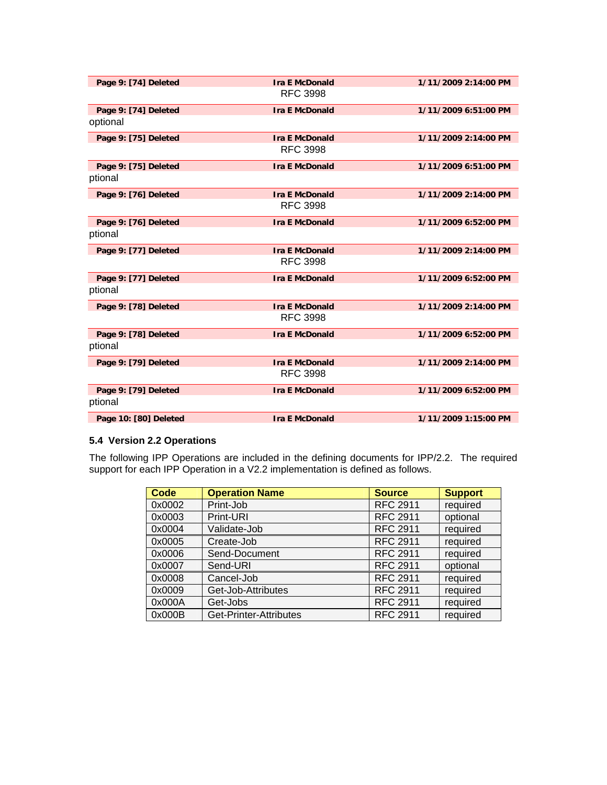| Page 9: [74] Deleted  | <b>Ira E McDonald</b> | 1/11/2009 2:14:00 PM |
|-----------------------|-----------------------|----------------------|
|                       | <b>RFC 3998</b>       |                      |
| Page 9: [74] Deleted  | <b>Ira E McDonald</b> | 1/11/2009 6:51:00 PM |
| optional              |                       |                      |
| Page 9: [75] Deleted  | <b>Ira E McDonald</b> | 1/11/2009 2:14:00 PM |
|                       | <b>RFC 3998</b>       |                      |
| Page 9: [75] Deleted  | <b>Ira E McDonald</b> | 1/11/2009 6:51:00 PM |
| ptional               |                       |                      |
| Page 9: [76] Deleted  | <b>Ira E McDonald</b> | 1/11/2009 2:14:00 PM |
|                       | <b>RFC 3998</b>       |                      |
| Page 9: [76] Deleted  | <b>Ira E McDonald</b> | 1/11/2009 6:52:00 PM |
| ptional               |                       |                      |
| Page 9: [77] Deleted  | <b>Ira E McDonald</b> | 1/11/2009 2:14:00 PM |
|                       | <b>RFC 3998</b>       |                      |
| Page 9: [77] Deleted  | <b>Ira E McDonald</b> | 1/11/2009 6:52:00 PM |
| ptional               |                       |                      |
| Page 9: [78] Deleted  | <b>Ira E McDonald</b> | 1/11/2009 2:14:00 PM |
|                       | <b>RFC 3998</b>       |                      |
| Page 9: [78] Deleted  | <b>Ira E McDonald</b> | 1/11/2009 6:52:00 PM |
| ptional               |                       |                      |
| Page 9: [79] Deleted  | <b>Ira E McDonald</b> | 1/11/2009 2:14:00 PM |
|                       | <b>RFC 3998</b>       |                      |
| Page 9: [79] Deleted  | <b>Ira E McDonald</b> | 1/11/2009 6:52:00 PM |
| ptional               |                       |                      |
| Page 10: [80] Deleted | <b>Ira E McDonald</b> | 1/11/2009 1:15:00 PM |

### **5.4 Version 2.2 Operations**

The following IPP Operations are included in the defining documents for IPP/2.2. The required support for each IPP Operation in a V2.2 implementation is defined as follows.

| <b>Code</b> | <b>Operation Name</b>  | <b>Source</b>   | <b>Support</b> |
|-------------|------------------------|-----------------|----------------|
| 0x0002      | Print-Job              | <b>RFC 2911</b> | required       |
| 0x0003      | Print-URI              | <b>RFC 2911</b> | optional       |
| 0x0004      | Validate-Job           | <b>RFC 2911</b> | required       |
| 0x0005      | Create-Job             | <b>RFC 2911</b> | required       |
| 0x0006      | Send-Document          | <b>RFC 2911</b> | required       |
| 0x0007      | Send-URI               | <b>RFC 2911</b> | optional       |
| 0x0008      | Cancel-Job             | <b>RFC 2911</b> | required       |
| 0x0009      | Get-Job-Attributes     | <b>RFC 2911</b> | required       |
| 0x000A      | Get-Jobs               | <b>RFC 2911</b> | required       |
| 0x000B      | Get-Printer-Attributes | <b>RFC 2911</b> | required       |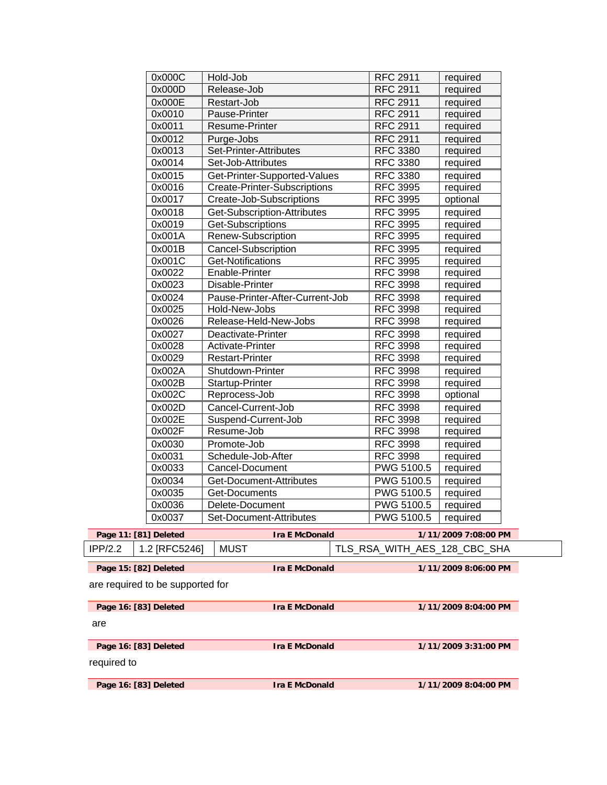|                                  | 1/11/2009 8:04:00 PM<br>Page 16: [83] Deleted<br><b>Ira E McDonald</b> |                                     |                                    |                      |  |
|----------------------------------|------------------------------------------------------------------------|-------------------------------------|------------------------------------|----------------------|--|
|                                  |                                                                        |                                     |                                    |                      |  |
| required to                      |                                                                        |                                     |                                    |                      |  |
|                                  | Page 16: [83] Deleted                                                  | <b>Ira E McDonald</b>               |                                    | 1/11/2009 3:31:00 PM |  |
|                                  |                                                                        |                                     |                                    |                      |  |
| are                              |                                                                        |                                     |                                    |                      |  |
|                                  | Page 16: [83] Deleted                                                  | <b>Ira E McDonald</b>               |                                    | 1/11/2009 8:04:00 PM |  |
|                                  |                                                                        |                                     |                                    |                      |  |
| are required to be supported for |                                                                        |                                     |                                    |                      |  |
|                                  | Page 15: [82] Deleted                                                  | <b>Ira E McDonald</b>               |                                    | 1/11/2009 8:06:00 PM |  |
|                                  |                                                                        |                                     |                                    |                      |  |
| IPP/2.2                          | 1.2 [RFC5246]                                                          | <b>MUST</b>                         | TLS RSA WITH AES 128 CBC SHA       |                      |  |
|                                  | Page 11: [81] Deleted                                                  | <b>Ira E McDonald</b>               |                                    | 1/11/2009 7:08:00 PM |  |
|                                  | 0x0037                                                                 | Set-Document-Attributes             | PWG 5100.5 $\vert$ required        |                      |  |
|                                  | 0x0036                                                                 | Delete-Document                     | PWG 5100.5                         | required             |  |
|                                  | 0x0035                                                                 | <b>Get-Documents</b>                | PWG 5100.5                         | required             |  |
|                                  | 0x0034                                                                 | Get-Document-Attributes             | PWG 5100.5                         | required             |  |
|                                  | 0x0033                                                                 | Cancel-Document                     | PWG 5100.5                         | required             |  |
|                                  | 0x0031                                                                 | Schedule-Job-After                  | <b>RFC 3998</b>                    | required             |  |
|                                  | 0x0030                                                                 | Promote-Job                         | <b>RFC 3998</b>                    | required             |  |
|                                  | 0x002F                                                                 | Resume-Job                          | <b>RFC 3998</b>                    | required             |  |
|                                  | 0x002E                                                                 | Suspend-Current-Job                 | <b>RFC 3998</b>                    | required             |  |
|                                  | 0x002D                                                                 | Cancel-Current-Job                  | <b>RFC 3998</b>                    | required             |  |
|                                  | 0x002C                                                                 | Reprocess-Job                       | <b>RFC 3998</b>                    | optional             |  |
|                                  | 0x002B                                                                 | Startup-Printer                     | <b>RFC 3998</b>                    | required             |  |
|                                  | 0x002A                                                                 | Shutdown-Printer                    | <b>RFC 3998</b>                    | required             |  |
|                                  | 0x0029                                                                 | <b>Restart-Printer</b>              | <b>RFC 3998</b>                    | required             |  |
|                                  | 0x0028                                                                 | Activate-Printer                    | <b>RFC 3998</b>                    | required             |  |
|                                  | 0x0027                                                                 | Deactivate-Printer                  | <b>RFC 3998</b>                    | required             |  |
|                                  | 0x0026                                                                 | Release-Held-New-Jobs               | <b>RFC 3998</b>                    | required             |  |
|                                  | 0x0025                                                                 | Hold-New-Jobs                       | <b>RFC 3998</b>                    | required             |  |
|                                  | 0x0024                                                                 | Pause-Printer-After-Current-Job     | <b>RFC 3998</b>                    | required             |  |
|                                  | 0x0023                                                                 | Disable-Printer                     | <b>RFC 3998</b>                    | required             |  |
|                                  | 0x0022                                                                 | Enable-Printer                      | <b>RFC 3998</b>                    | required             |  |
|                                  | 0x001C                                                                 | <b>Get-Notifications</b>            | <b>RFC 3995</b>                    | required             |  |
|                                  | 0x001B                                                                 | Cancel-Subscription                 | <b>RFC 3995</b>                    | required             |  |
|                                  | 0x001A                                                                 | Renew-Subscription                  | <b>RFC 3995</b>                    | required             |  |
|                                  | 0x0019                                                                 | Get-Subscriptions                   | <b>RFC 3995</b>                    | required             |  |
|                                  | 0x0018                                                                 | Get-Subscription-Attributes         | <b>RFC 3995</b>                    | required             |  |
|                                  | 0x0017                                                                 | Create-Job-Subscriptions            | <b>RFC 3995</b>                    | optional             |  |
|                                  | 0x0016                                                                 | <b>Create-Printer-Subscriptions</b> | <b>RFC 3995</b>                    | required             |  |
|                                  | 0x0015                                                                 | Get-Printer-Supported-Values        | <b>RFC 3380</b>                    | required             |  |
|                                  | 0x0014                                                                 | Set-Job-Attributes                  | <b>RFC 3380</b>                    | required             |  |
|                                  | 0x0013                                                                 | Set-Printer-Attributes              | <b>RFC 3380</b>                    | required             |  |
|                                  | 0x0012                                                                 | Purge-Jobs                          | <b>RFC 2911</b>                    | required             |  |
|                                  | 0x0010<br>0x0011                                                       | Pause-Printer<br>Resume-Printer     | <b>RFC 2911</b><br><b>RFC 2911</b> | required<br>required |  |
|                                  | 0x000E                                                                 | Restart-Job                         | <b>RFC 2911</b>                    | required             |  |
|                                  | 0x000D                                                                 | Release-Job                         | <b>RFC 2911</b>                    | required             |  |
|                                  | 0x000C                                                                 | Hold-Job                            | <b>RFC 2911</b>                    | required             |  |
|                                  |                                                                        |                                     |                                    |                      |  |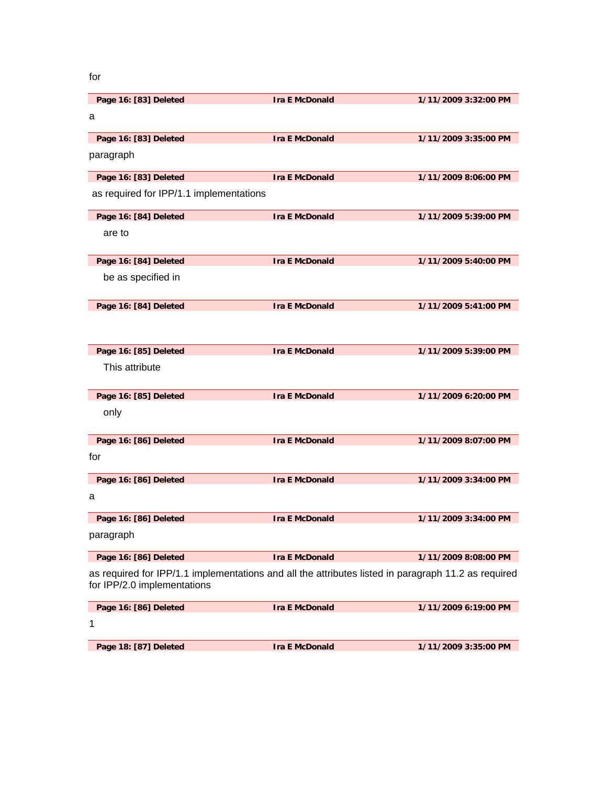for

| Page 16: [83] Deleted                                                                                                              | <b>Ira E McDonald</b> | 1/11/2009 3:32:00 PM |
|------------------------------------------------------------------------------------------------------------------------------------|-----------------------|----------------------|
| a                                                                                                                                  |                       |                      |
| Page 16: [83] Deleted                                                                                                              | <b>Ira E McDonald</b> | 1/11/2009 3:35:00 PM |
| paragraph                                                                                                                          |                       |                      |
| Page 16: [83] Deleted                                                                                                              | <b>Ira E McDonald</b> | 1/11/2009 8:06:00 PM |
| as required for IPP/1.1 implementations                                                                                            |                       |                      |
| Page 16: [84] Deleted                                                                                                              | <b>Ira E McDonald</b> | 1/11/2009 5:39:00 PM |
| are to                                                                                                                             |                       |                      |
| Page 16: [84] Deleted                                                                                                              | <b>Ira E McDonald</b> | 1/11/2009 5:40:00 PM |
| be as specified in                                                                                                                 |                       |                      |
| Page 16: [84] Deleted                                                                                                              | <b>Ira E McDonald</b> | 1/11/2009 5:41:00 PM |
|                                                                                                                                    |                       |                      |
| Page 16: [85] Deleted                                                                                                              | <b>Ira E McDonald</b> | 1/11/2009 5:39:00 PM |
| This attribute                                                                                                                     |                       |                      |
| Page 16: [85] Deleted                                                                                                              | <b>Ira E McDonald</b> | 1/11/2009 6:20:00 PM |
| only                                                                                                                               |                       |                      |
| Page 16: [86] Deleted                                                                                                              | <b>Ira E McDonald</b> | 1/11/2009 8:07:00 PM |
| for                                                                                                                                |                       |                      |
| Page 16: [86] Deleted                                                                                                              | <b>Ira E McDonald</b> | 1/11/2009 3:34:00 PM |
| a                                                                                                                                  |                       |                      |
| Page 16: [86] Deleted                                                                                                              | <b>Ira E McDonald</b> | 1/11/2009 3:34:00 PM |
| paragraph                                                                                                                          |                       |                      |
| Page 16: [86] Deleted                                                                                                              | <b>Ira E McDonald</b> | 1/11/2009 8:08:00 PM |
| as required for IPP/1.1 implementations and all the attributes listed in paragraph 11.2 as required<br>for IPP/2.0 implementations |                       |                      |
| Page 16: [86] Deleted                                                                                                              | <b>Ira E McDonald</b> | 1/11/2009 6:19:00 PM |
| 1                                                                                                                                  |                       |                      |
| Page 18: [87] Deleted                                                                                                              | <b>Ira E McDonald</b> | 1/11/2009 3:35:00 PM |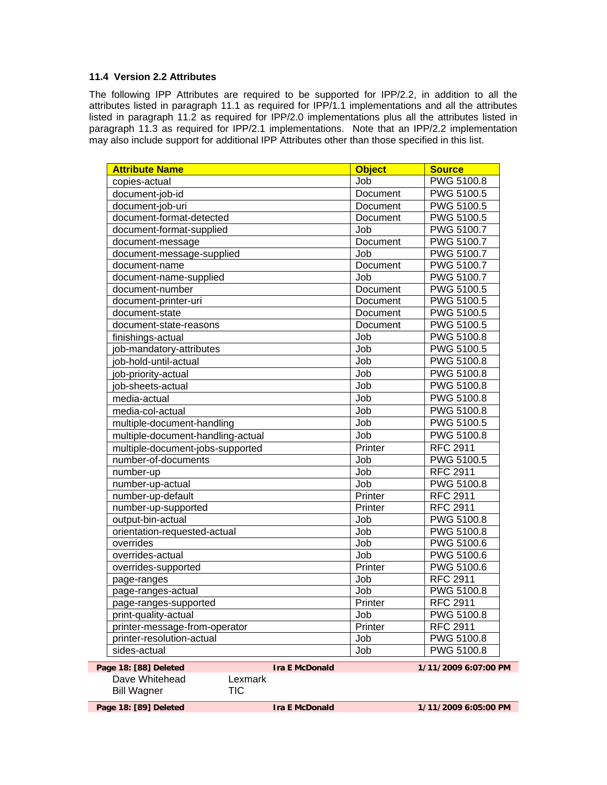### **11.4 Version 2.2 Attributes**

The following IPP Attributes are required to be supported for IPP/2.2, in addition to all the attributes listed in paragraph 11.1 as required for IPP/1.1 implementations and all the attributes listed in paragraph 11.2 as required for IPP/2.0 implementations plus all the attributes listed in paragraph 11.3 as required for IPP/2.1 implementations. Note that an IPP/2.2 implementation may also include support for additional IPP Attributes other than those specified in this list.

| <b>Attribute Name</b>             | <b>Object</b>   | <b>Source</b>     |
|-----------------------------------|-----------------|-------------------|
| copies-actual                     | Job             | PWG 5100.8        |
| document-job-id                   | Document        | <b>PWG 5100.5</b> |
| document-job-uri                  | Document        | <b>PWG 5100.5</b> |
| document-format-detected          | Document        | <b>PWG 5100.5</b> |
| document-format-supplied          | Job             | PWG 5100.7        |
| document-message                  | Document        | <b>PWG 5100.7</b> |
| document-message-supplied         | Job             | <b>PWG 5100.7</b> |
| document-name                     | <b>Document</b> | <b>PWG 5100.7</b> |
| document-name-supplied            | Job             | <b>PWG 5100.7</b> |
| document-number                   | Document        | <b>PWG 5100.5</b> |
| document-printer-uri              | Document        | <b>PWG 5100.5</b> |
| document-state                    | Document        | <b>PWG 5100.5</b> |
| document-state-reasons            | Document        | <b>PWG 5100.5</b> |
| finishings-actual                 | Job             | <b>PWG 5100.8</b> |
| job-mandatory-attributes          | Job             | PWG 5100.5        |
| job-hold-until-actual             | Job             | PWG 5100.8        |
| job-priority-actual               | Job             | <b>PWG 5100.8</b> |
| job-sheets-actual                 | Job             | <b>PWG 5100.8</b> |
| media-actual                      | Job             | PWG 5100.8        |
| media-col-actual                  | Job             | <b>PWG 5100.8</b> |
| multiple-document-handling        | Job             | <b>PWG 5100.5</b> |
| multiple-document-handling-actual | Job             | PWG 5100.8        |
| multiple-document-jobs-supported  | Printer         | <b>RFC 2911</b>   |
| number-of-documents               | Job             | <b>PWG 5100.5</b> |
| number-up                         | Job             | <b>RFC 2911</b>   |
| number-up-actual                  | Job             | <b>PWG 5100.8</b> |
| number-up-default                 | Printer         | <b>RFC 2911</b>   |
| number-up-supported               | Printer         | <b>RFC 2911</b>   |
| output-bin-actual                 | Job             | <b>PWG 5100.8</b> |
| orientation-requested-actual      | Job             | <b>PWG 5100.8</b> |
| overrides                         | Job             | <b>PWG 5100.6</b> |
| overrides-actual                  | Job             | <b>PWG 5100.6</b> |
| overrides-supported               | Printer         | PWG 5100.6        |
| page-ranges                       | Job             | <b>RFC 2911</b>   |
| page-ranges-actual                | Job             | <b>PWG 5100.8</b> |
| page-ranges-supported             | Printer         | <b>RFC 2911</b>   |
| print-quality-actual              | Job             | <b>PWG 5100.8</b> |
| printer-message-from-operator     | Printer         | <b>RFC 2911</b>   |
| printer-resolution-actual         | Job             | <b>PWG 5100.8</b> |
| sides-actual                      | Job             | <b>PWG 5100.8</b> |

Dave Whitehead Lexmark Bill Wagner TIC

**Page 18: [88] Deleted Ira E McDonald 1/11/2009 6:07:00 PM**